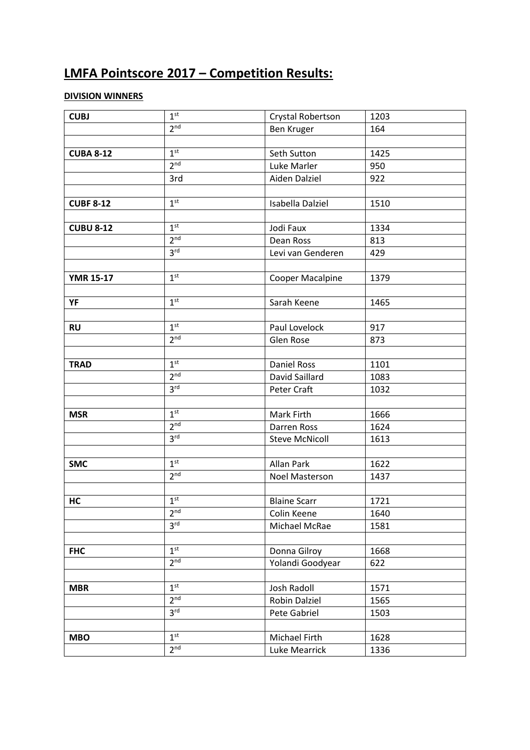# **LMFA Pointscore 2017 – Competition Results:**

## **DIVISION WINNERS**

| 1 <sup>st</sup> | Crystal Robertson                  | 1203 |  |
|-----------------|------------------------------------|------|--|
|                 | Ben Kruger                         | 164  |  |
|                 |                                    |      |  |
| 1 <sup>st</sup> | Seth Sutton                        | 1425 |  |
| 2 <sup>nd</sup> | Luke Marler                        | 950  |  |
| 3rd             | Aiden Dalziel                      | 922  |  |
|                 |                                    |      |  |
| 1 <sup>st</sup> | Isabella Dalziel                   | 1510 |  |
|                 |                                    |      |  |
| 1 <sup>st</sup> | Jodi Faux                          | 1334 |  |
|                 | Dean Ross                          | 813  |  |
| 3 <sup>rd</sup> | Levi van Genderen                  | 429  |  |
|                 |                                    |      |  |
| 1 <sup>st</sup> | Cooper Macalpine                   | 1379 |  |
|                 |                                    |      |  |
| 1 <sup>st</sup> | Sarah Keene                        | 1465 |  |
|                 |                                    |      |  |
| 1 <sup>st</sup> | Paul Lovelock                      | 917  |  |
| 2 <sup>nd</sup> | <b>Glen Rose</b>                   | 873  |  |
|                 |                                    |      |  |
| 1 <sup>st</sup> | <b>Daniel Ross</b>                 | 1101 |  |
| 2 <sup>nd</sup> | David Saillard                     | 1083 |  |
| 3 <sup>rd</sup> | Peter Craft                        | 1032 |  |
|                 |                                    |      |  |
| 1 <sup>st</sup> | Mark Firth                         | 1666 |  |
| 2 <sup>nd</sup> | Darren Ross                        | 1624 |  |
| 3 <sup>rd</sup> | <b>Steve McNicoll</b>              | 1613 |  |
|                 |                                    |      |  |
| 1 <sup>st</sup> | Allan Park                         | 1622 |  |
| 2 <sup>nd</sup> | Noel Masterson                     | 1437 |  |
|                 |                                    |      |  |
| 1 <sup>st</sup> | <b>Blaine Scarr</b>                | 1721 |  |
| 2 <sup>nd</sup> | Colin Keene                        | 1640 |  |
| 3 <sup>rd</sup> | Michael McRae                      | 1581 |  |
|                 |                                    |      |  |
| 1 <sup>st</sup> | Donna Gilroy                       | 1668 |  |
| 2 <sup>nd</sup> | Yolandi Goodyear                   | 622  |  |
|                 |                                    |      |  |
| 1 <sup>st</sup> | Josh Radoll                        | 1571 |  |
| 2 <sup>nd</sup> | Robin Dalziel                      | 1565 |  |
| 3 <sup>rd</sup> | Pete Gabriel                       | 1503 |  |
|                 |                                    |      |  |
| 1 <sup>st</sup> | Michael Firth                      | 1628 |  |
| 2 <sup>nd</sup> | Luke Mearrick                      | 1336 |  |
|                 | 2 <sub>nd</sub><br>2 <sup>nd</sup> |      |  |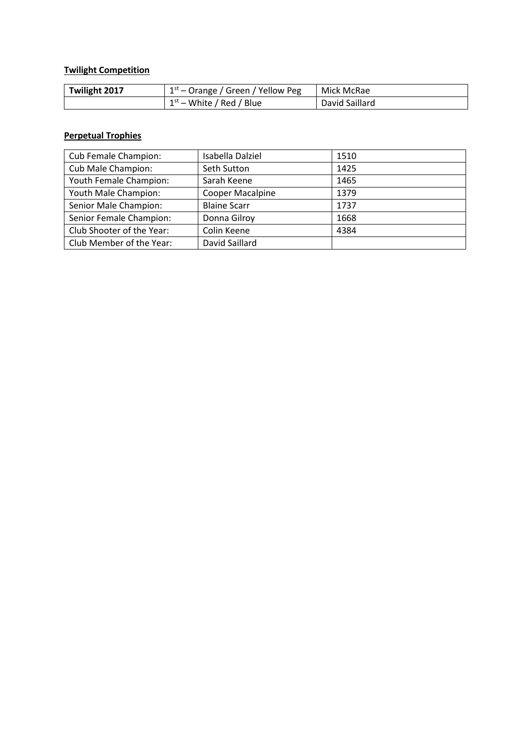## **Twilight Competition**

| Twilight 2017 | $1st$ – Orange / Green / Yellow Peg | Mick McRae     |  |  |  |
|---------------|-------------------------------------|----------------|--|--|--|
|               | $1st$ – White / Red / Blue          | David Saillard |  |  |  |

#### **Perpetual Trophies**

| Cub Female Champion:      | Isabella Dalziel    | 1510 |
|---------------------------|---------------------|------|
| Cub Male Champion:        | Seth Sutton         | 1425 |
| Youth Female Champion:    | Sarah Keene         | 1465 |
| Youth Male Champion:      | Cooper Macalpine    | 1379 |
| Senior Male Champion:     | <b>Blaine Scarr</b> | 1737 |
| Senior Female Champion:   | Donna Gilroy        | 1668 |
| Club Shooter of the Year: | Colin Keene         | 4384 |
| Club Member of the Year:  | David Saillard      |      |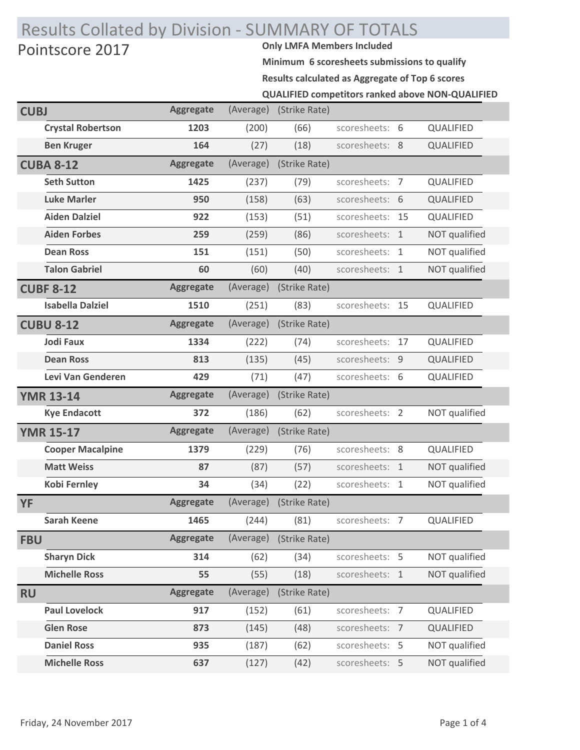## Results Collated by Division - SUMMARY OF TOTALS Pointscore 2017

**Minimum 6 scoresheets submissions to qualify QUALIFIED competitors ranked above NON-QUALIFIED Results calculated as Aggregate of Top 6 scores**

| <b>CUBJ</b> |                          | <b>Aggregate</b> | (Average) | (Strike Rate) |                 |    |               |
|-------------|--------------------------|------------------|-----------|---------------|-----------------|----|---------------|
|             | <b>Crystal Robertson</b> | 1203             | (200)     | (66)          | scoresheets: 6  |    | QUALIFIED     |
|             | <b>Ben Kruger</b>        | 164              | (27)      | (18)          | scoresheets: 8  |    | QUALIFIED     |
|             | <b>CUBA 8-12</b>         | <b>Aggregate</b> | (Average) | (Strike Rate) |                 |    |               |
|             | <b>Seth Sutton</b>       | 1425             | (237)     | (79)          | scoresheets: 7  |    | QUALIFIED     |
|             | <b>Luke Marler</b>       | 950              | (158)     | (63)          | scoresheets: 6  |    | QUALIFIED     |
|             | <b>Aiden Dalziel</b>     | 922              | (153)     | (51)          | scoresheets:    | 15 | QUALIFIED     |
|             | <b>Aiden Forbes</b>      | 259              | (259)     | (86)          | scoresheets: 1  |    | NOT qualified |
|             | <b>Dean Ross</b>         | 151              | (151)     | (50)          | scoresheets: 1  |    | NOT qualified |
|             | <b>Talon Gabriel</b>     | 60               | (60)      | (40)          | scoresheets: 1  |    | NOT qualified |
|             | <b>CUBF 8-12</b>         | <b>Aggregate</b> | (Average) | (Strike Rate) |                 |    |               |
|             | <b>Isabella Dalziel</b>  | 1510             | (251)     | (83)          | scoresheets: 15 |    | QUALIFIED     |
|             | <b>CUBU 8-12</b>         | <b>Aggregate</b> | (Average) | (Strike Rate) |                 |    |               |
|             | <b>Jodi Faux</b>         | 1334             | (222)     | (74)          | scoresheets:    | 17 | QUALIFIED     |
|             | <b>Dean Ross</b>         | 813              | (135)     | (45)          | scoresheets:    | 9  | QUALIFIED     |
|             | Levi Van Genderen        | 429              | (71)      | (47)          | scoresheets: 6  |    | QUALIFIED     |
|             |                          |                  |           |               |                 |    |               |
|             | <b>YMR 13-14</b>         | <b>Aggregate</b> | (Average) | (Strike Rate) |                 |    |               |
|             | <b>Kye Endacott</b>      | 372              | (186)     | (62)          | scoresheets: 2  |    | NOT qualified |
|             | <b>YMR 15-17</b>         | <b>Aggregate</b> | (Average) | (Strike Rate) |                 |    |               |
|             | <b>Cooper Macalpine</b>  | 1379             | (229)     | (76)          | scoresheets: 8  |    | QUALIFIED     |
|             | <b>Matt Weiss</b>        | 87               | (87)      | (57)          | scoresheets: 1  |    | NOT qualified |
|             | <b>Kobi Fernley</b>      | 34               | (34)      | (22)          | scoresheets: 1  |    | NOT qualified |
| <b>YF</b>   |                          | <b>Aggregate</b> | (Average) | (Strike Rate) |                 |    |               |
|             | Sarah Keene              | 1465             | (244)     | (81)          | scoresheets: 7  |    | QUALIFIED     |
| <b>FBU</b>  |                          | <b>Aggregate</b> | (Average) | (Strike Rate) |                 |    |               |
|             | <b>Sharyn Dick</b>       | 314              | (62)      | (34)          | scoresheets: 5  |    | NOT qualified |
|             | <b>Michelle Ross</b>     | 55               | (55)      | (18)          | scoresheets: 1  |    | NOT qualified |
| <b>RU</b>   |                          | <b>Aggregate</b> | (Average) | (Strike Rate) |                 |    |               |
|             | <b>Paul Lovelock</b>     | 917              | (152)     | (61)          | scoresheets: 7  |    | QUALIFIED     |
|             | <b>Glen Rose</b>         | 873              | (145)     | (48)          | scoresheets: 7  |    | QUALIFIED     |
|             | <b>Daniel Ross</b>       | 935              | (187)     | (62)          | scoresheets: 5  |    | NOT qualified |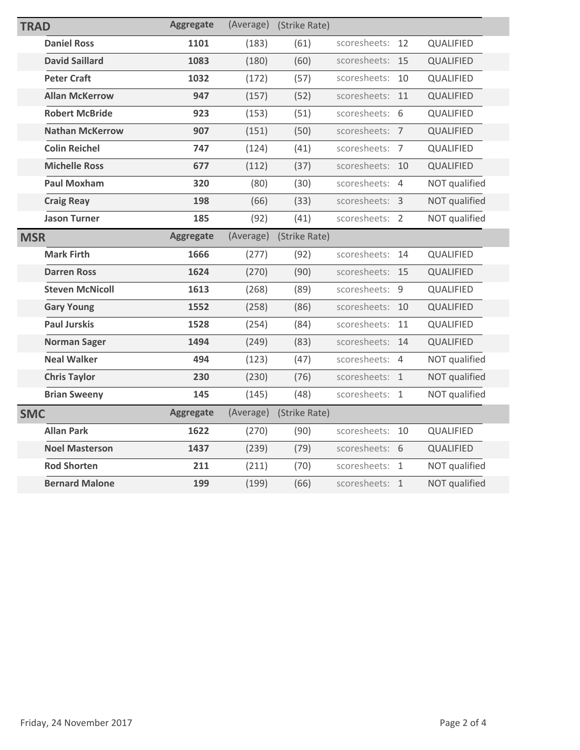| <b>TRAD</b> |                        | <b>Aggregate</b> | (Average) | (Strike Rate) |                 |    |               |
|-------------|------------------------|------------------|-----------|---------------|-----------------|----|---------------|
|             | <b>Daniel Ross</b>     | 1101             | (183)     | (61)          | scoresheets:    | 12 | QUALIFIED     |
|             | <b>David Saillard</b>  | 1083             | (180)     | (60)          | scoresheets: 15 |    | QUALIFIED     |
|             | <b>Peter Craft</b>     | 1032             | (172)     | (57)          | scoresheets:    | 10 | QUALIFIED     |
|             | <b>Allan McKerrow</b>  | 947              | (157)     | (52)          | scoresheets:    | 11 | QUALIFIED     |
|             | <b>Robert McBride</b>  | 923              | (153)     | (51)          | scoresheets:    | 6  | QUALIFIED     |
|             | <b>Nathan McKerrow</b> | 907              | (151)     | (50)          | scoresheets: 7  |    | QUALIFIED     |
|             | <b>Colin Reichel</b>   | 747              | (124)     | (41)          | scoresheets: 7  |    | QUALIFIED     |
|             | <b>Michelle Ross</b>   | 677              | (112)     | (37)          | scoresheets:    | 10 | QUALIFIED     |
|             | <b>Paul Moxham</b>     | 320              | (80)      | (30)          | scoresheets: 4  |    | NOT qualified |
|             | <b>Craig Reay</b>      | 198              | (66)      | (33)          | scoresheets: 3  |    | NOT qualified |
|             | <b>Jason Turner</b>    | 185              | (92)      | (41)          | scoresheets: 2  |    | NOT qualified |
| <b>MSR</b>  |                        | <b>Aggregate</b> | (Average) | (Strike Rate) |                 |    |               |
|             | <b>Mark Firth</b>      | 1666             | (277)     | (92)          | scoresheets:    | 14 | QUALIFIED     |
|             | <b>Darren Ross</b>     | 1624             | (270)     | (90)          | scoresheets:    | 15 | QUALIFIED     |
|             | <b>Steven McNicoll</b> | 1613             | (268)     | (89)          | scoresheets: 9  |    | QUALIFIED     |
|             | <b>Gary Young</b>      | 1552             | (258)     | (86)          | scoresheets:    | 10 | QUALIFIED     |
|             | <b>Paul Jurskis</b>    | 1528             | (254)     | (84)          | scoresheets:    | 11 | QUALIFIED     |
|             | <b>Norman Sager</b>    | 1494             | (249)     | (83)          | scoresheets:    | 14 | QUALIFIED     |
|             | <b>Neal Walker</b>     | 494              | (123)     | (47)          | scoresheets: 4  |    | NOT qualified |
|             | <b>Chris Taylor</b>    | 230              | (230)     | (76)          | scoresheets: 1  |    | NOT qualified |
|             | <b>Brian Sweeny</b>    | 145              | (145)     | (48)          | scoresheets:    | 1  | NOT qualified |
| <b>SMC</b>  |                        | <b>Aggregate</b> | (Average) | (Strike Rate) |                 |    |               |
|             | <b>Allan Park</b>      | 1622             | (270)     | (90)          | scoresheets: 10 |    | QUALIFIED     |
|             | <b>Noel Masterson</b>  | 1437             | (239)     | (79)          | scoresheets: 6  |    | QUALIFIED     |
|             | <b>Rod Shorten</b>     | 211              | (211)     | (70)          | scoresheets: 1  |    | NOT qualified |
|             | <b>Bernard Malone</b>  | 199              | (199)     | (66)          | scoresheets: 1  |    | NOT qualified |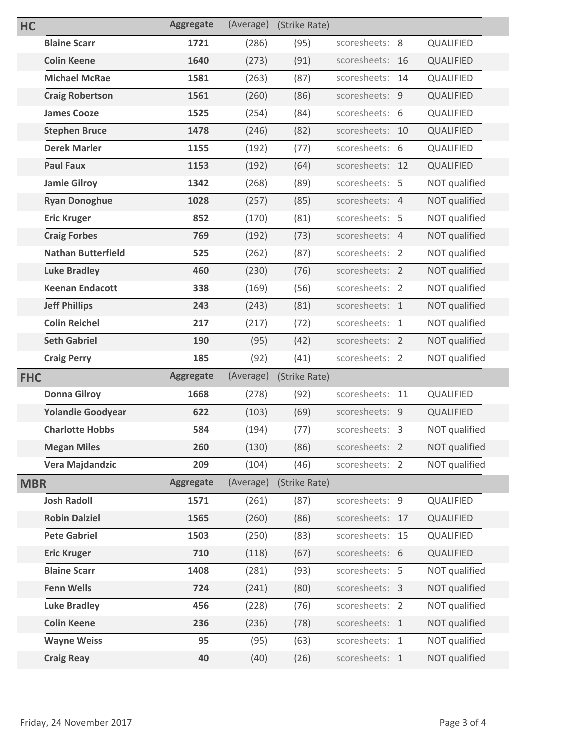| <b>HC</b>  |                           | <b>Aggregate</b> | (Average) | (Strike Rate) |                 |    |               |
|------------|---------------------------|------------------|-----------|---------------|-----------------|----|---------------|
|            | <b>Blaine Scarr</b>       | 1721             | (286)     | (95)          | scoresheets: 8  |    | QUALIFIED     |
|            | <b>Colin Keene</b>        | 1640             | (273)     | (91)          | scoresheets:    | 16 | QUALIFIED     |
|            | <b>Michael McRae</b>      | 1581             | (263)     | (87)          | scoresheets:    | 14 | QUALIFIED     |
|            | <b>Craig Robertson</b>    | 1561             | (260)     | (86)          | scoresheets: 9  |    | QUALIFIED     |
|            | <b>James Cooze</b>        | 1525             | (254)     | (84)          | scoresheets: 6  |    | QUALIFIED     |
|            | <b>Stephen Bruce</b>      | 1478             | (246)     | (82)          | scoresheets: 10 |    | QUALIFIED     |
|            | <b>Derek Marler</b>       | 1155             | (192)     | (77)          | scoresheets: 6  |    | QUALIFIED     |
|            | <b>Paul Faux</b>          | 1153             | (192)     | (64)          | scoresheets: 12 |    | QUALIFIED     |
|            | <b>Jamie Gilroy</b>       | 1342             | (268)     | (89)          | scoresheets: 5  |    | NOT qualified |
|            | <b>Ryan Donoghue</b>      | 1028             | (257)     | (85)          | scoresheets: 4  |    | NOT qualified |
|            | <b>Eric Kruger</b>        | 852              | (170)     | (81)          | scoresheets: 5  |    | NOT qualified |
|            | <b>Craig Forbes</b>       | 769              | (192)     | (73)          | scoresheets: 4  |    | NOT qualified |
|            | <b>Nathan Butterfield</b> | 525              | (262)     | (87)          | scoresheets: 2  |    | NOT qualified |
|            | <b>Luke Bradley</b>       | 460              | (230)     | (76)          | scoresheets: 2  |    | NOT qualified |
|            | <b>Keenan Endacott</b>    | 338              | (169)     | (56)          | scoresheets: 2  |    | NOT qualified |
|            | <b>Jeff Phillips</b>      | 243              | (243)     | (81)          | scoresheets: 1  |    | NOT qualified |
|            | <b>Colin Reichel</b>      | 217              | (217)     | (72)          | scoresheets: 1  |    | NOT qualified |
|            | <b>Seth Gabriel</b>       | 190              | (95)      | (42)          | scoresheets: 2  |    | NOT qualified |
|            | <b>Craig Perry</b>        | 185              | (92)      | (41)          | scoresheets: 2  |    | NOT qualified |
| <b>FHC</b> |                           | <b>Aggregate</b> | (Average) | (Strike Rate) |                 |    |               |
|            | <b>Donna Gilroy</b>       | 1668             | (278)     | (92)          | scoresheets: 11 |    | QUALIFIED     |
|            | <b>Yolandie Goodyear</b>  | 622              | (103)     | (69)          | scoresheets: 9  |    | QUALIFIED     |
|            | <b>Charlotte Hobbs</b>    | 584              | (194)     | (77)          | scoresheets: 3  |    | NOT qualified |
|            | <b>Megan Miles</b>        | 260              | (130)     | (86)          | scoresheets: 2  |    | NOT qualified |
|            | Vera Majdandzic           | 209              | (104)     | (46)          | scoresheets: 2  |    | NOT qualified |
| <b>MBR</b> |                           | <b>Aggregate</b> | (Average) | (Strike Rate) |                 |    |               |
|            | <b>Josh Radoll</b>        | 1571             | (261)     | (87)          | scoresheets: 9  |    | QUALIFIED     |
|            | <b>Robin Dalziel</b>      | 1565             | (260)     | (86)          | scoresheets: 17 |    | QUALIFIED     |
|            | <b>Pete Gabriel</b>       | 1503             | (250)     | (83)          | scoresheets: 15 |    | QUALIFIED     |
|            | <b>Eric Kruger</b>        | 710              | (118)     | (67)          | scoresheets: 6  |    | QUALIFIED     |
|            | <b>Blaine Scarr</b>       | 1408             | (281)     | (93)          | scoresheets: 5  |    | NOT qualified |
|            | <b>Fenn Wells</b>         | 724              | (241)     | (80)          | scoresheets: 3  |    | NOT qualified |
|            | <b>Luke Bradley</b>       | 456              | (228)     | (76)          | scoresheets: 2  |    | NOT qualified |
|            | <b>Colin Keene</b>        | 236              | (236)     | (78)          | scoresheets: 1  |    | NOT qualified |
|            | <b>Wayne Weiss</b>        | 95               | (95)      | (63)          | scoresheets: 1  |    | NOT qualified |
|            | <b>Craig Reay</b>         | 40               | (40)      | (26)          | scoresheets: 1  |    | NOT qualified |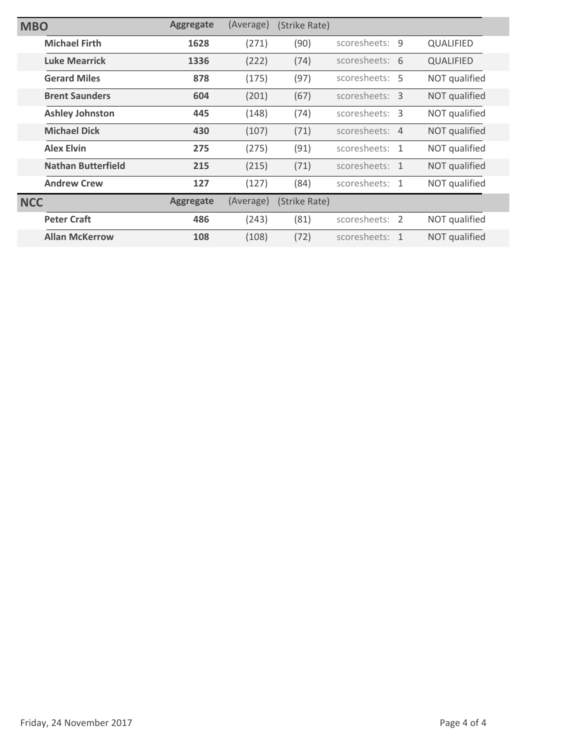| <b>MBO</b> |                           | <b>Aggregate</b> | (Average) | (Strike Rate) |                |                  |
|------------|---------------------------|------------------|-----------|---------------|----------------|------------------|
|            | <b>Michael Firth</b>      | 1628             | (271)     | (90)          | scoresheets: 9 | <b>QUALIFIED</b> |
|            | <b>Luke Mearrick</b>      | 1336             | (222)     | (74)          | scoresheets: 6 | <b>QUALIFIED</b> |
|            | <b>Gerard Miles</b>       | 878              | (175)     | (97)          | scoresheets: 5 | NOT qualified    |
|            | <b>Brent Saunders</b>     | 604              | (201)     | (67)          | scoresheets: 3 | NOT qualified    |
|            | <b>Ashley Johnston</b>    | 445              | (148)     | (74)          | scoresheets: 3 | NOT qualified    |
|            | <b>Michael Dick</b>       | 430              | (107)     | (71)          | scoresheets: 4 | NOT qualified    |
|            | <b>Alex Elvin</b>         | 275              | (275)     | (91)          | scoresheets: 1 | NOT qualified    |
|            | <b>Nathan Butterfield</b> | 215              | (215)     | (71)          | scoresheets: 1 | NOT qualified    |
|            | <b>Andrew Crew</b>        | 127              | (127)     | (84)          | scoresheets: 1 | NOT qualified    |
| <b>NCC</b> |                           | <b>Aggregate</b> | (Average) | (Strike Rate) |                |                  |
|            | <b>Peter Craft</b>        | 486              | (243)     | (81)          | scoresheets: 2 | NOT qualified    |
|            | <b>Allan McKerrow</b>     | 108              | (108)     | (72)          | scoresheets: 1 | NOT qualified    |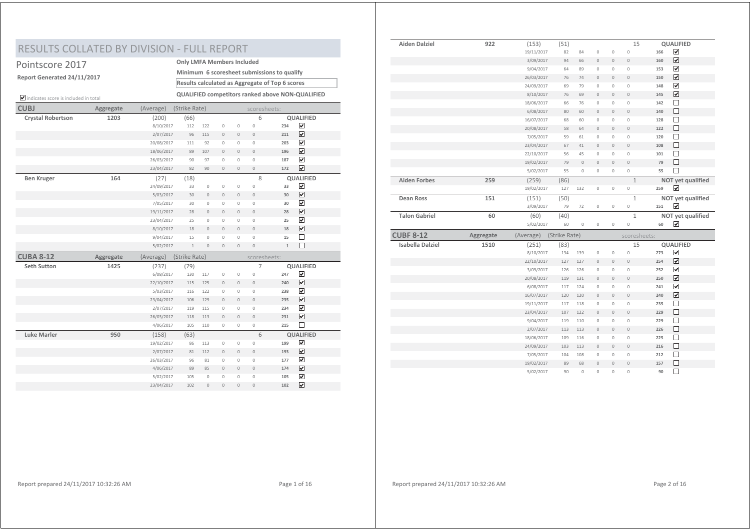## RESULTS COLLATED BY DIVISION - FULL REPORT

|  | Pointscore 2017 |
|--|-----------------|
|  |                 |

**Report Generated 24/11/2017**

**Only LMFA Members Included Results calculated as Aggregate of Top 6 scores Minimum 6 scoresheet submissions to qualify**

indicates score is included in total **QUALIFIED competitors ranked above NON-QUALIFIED**

| <b>CUBJ</b>              | Aggregate | (Average)  | (Strike Rate) |                     | scoresheets: |                     |                     |              |                         |  |
|--------------------------|-----------|------------|---------------|---------------------|--------------|---------------------|---------------------|--------------|-------------------------|--|
| <b>Crystal Robertson</b> | 1203      | (200)      | (66)          |                     |              |                     | 6                   |              | <b>QUALIFIED</b>        |  |
|                          |           | 8/10/2017  | 112           | 122                 | $\mathbb O$  | $\mathbb O$         | $\circ$             | 234          | ☑                       |  |
|                          |           | 2/07/2017  | 96            | 115                 | $\mathbb O$  | $\mathbb O$         | $\mathbb O$         | 211          | $\overline{\mathbf{v}}$ |  |
|                          |           | 20/08/2017 | 111           | 92                  | $\mathbb O$  | $\mathbb O$         | $\mathsf{O}\xspace$ | 203          | $\overline{\mathbf{v}}$ |  |
|                          |           | 18/06/2017 | 89            | 107                 | $\mathbb O$  | $\mathbb O$         | $\mathbb O$         | 196          | ☑                       |  |
|                          |           | 26/03/2017 | 90            | 97                  | $\mathbb O$  | $\mathbb O$         | $\mathbf{0}$        | 187          | $\overline{\mathbf{v}}$ |  |
|                          |           | 23/04/2017 | 82            | 90                  | $\mathbb O$  | $\mathbb O$         | $\mathbb O$         | 172          | $\overline{\mathbf{v}}$ |  |
| <b>Ben Kruger</b>        | 164       | (27)       | (18)          |                     |              |                     | 8                   |              | <b>QUALIFIED</b>        |  |
|                          |           | 24/09/2017 | 33            | $\mathbb O$         | $\mathbb O$  | $\mathbb O$         | $\circ$             | 33           | ☑                       |  |
|                          |           | 5/03/2017  | 30            | $\mathbb O$         | $\mathbb O$  | $\mathbb O$         | $\mathbf{0}$        | 30           | $\overline{\mathbf{v}}$ |  |
|                          |           | 7/05/2017  | 30            | $\mathbb O$         | $\mathbb O$  | $\mathbb O$         | $\mathsf{O}\xspace$ | 30           | ☑                       |  |
|                          |           | 19/11/2017 | 28            | $\mathbb O$         | $\mathbb O$  | $\mathbf 0$         | $\mathbb O$         | 28           | $\overline{\mathbf{v}}$ |  |
|                          |           | 23/04/2017 | 25            | $\mathbb O$         | $\mathbb O$  | $\mathbb O$         | $\mathsf{O}\xspace$ | 25           | $\overline{\mathbf{v}}$ |  |
|                          |           | 8/10/2017  | 18            | $\mathbf{0}$        | $\mathbb O$  | $\mathbf 0$         | $\circ$             | 18           | ☑                       |  |
|                          |           | 9/04/2017  | 15            | $\mathsf{O}\xspace$ | $\mathbb O$  | $\mathsf{O}\xspace$ | $\overline{0}$      | 15           | $\Box$                  |  |
|                          |           | 5/02/2017  | $\,1\,$       | $\mathbb O$         | $\mathbb O$  | $\mathbb O$         | $\overline{0}$      | $\mathbf{1}$ | $\Box$                  |  |
| <b>CUBA 8-12</b>         | Aggregate | (Average)  | (Strike Rate) |                     |              |                     | scoresheets:        |              |                         |  |
| <b>Seth Sutton</b>       | 1425      | (237)      | (79)          |                     |              |                     | $\overline{7}$      |              | <b>QUALIFIED</b>        |  |
|                          |           | 6/08/2017  | 130           | 117                 | $\mathbb O$  | $\mathbb O$         | 0                   | 247          | ☑                       |  |
|                          |           | 22/10/2017 | 115           | 125                 | $\mathbb O$  | $\mathbf 0$         | $\mathbb O$         | 240          | ☑                       |  |
|                          |           | 5/03/2017  | 116           | 122                 | $\mathbb O$  | $\mathbb O$         | $\mathbf 0$         | 238          | $\overline{\mathbf{v}}$ |  |
|                          |           | 23/04/2017 | 106           | 129                 | $\mathbb O$  | $\mathbb O$         | $\circ$             | 235          | ☑                       |  |
|                          |           | 2/07/2017  | 119           | 115                 | $\mathbb O$  | $\mathbb O$         | $\circ$             | 234          | $\overline{\mathbf{v}}$ |  |
|                          |           | 26/03/2017 | 118           | 113                 | $\mathbb O$  | $\mathbb O$         | $\mathbb O$         | 231          | ☑                       |  |
|                          |           | 4/06/2017  | 105           | 110                 | $\mathbb O$  | $\mathbb O$         | $\circ$             | 215          | $\Box$                  |  |
| <b>Luke Marler</b>       | 950       | (158)      | (63)          |                     |              |                     | 6                   |              | <b>QUALIFIED</b>        |  |
|                          |           | 19/02/2017 | 86            | 113                 | $\mathbb O$  | $\mathbb O$         | $\mathsf{O}\xspace$ | 199          | ☑                       |  |
|                          |           | 2/07/2017  | 81            | 112                 | $\mathbb O$  | $\mathbb O$         | $\mathbb O$         | 193          | ☑                       |  |
|                          |           | 26/03/2017 | 96            | 81                  | $\mathbb O$  | $\mathbb O$         | $\mathbb O$         | 177          | $\overline{\mathbf{v}}$ |  |
|                          |           | 4/06/2017  | 89            | 85                  | $\mathbb O$  | $\mathbb O$         | $\mathbb O$         | 174          | ☑                       |  |
|                          |           | 5/02/2017  | 105           | $\mathbf{0}$        | $\mathbb O$  | $\mathbf{0}$        | $\mathbf 0$         | 105          | $\overline{\mathbf{v}}$ |  |
|                          |           | 23/04/2017 | 102           | $\mathbb O$         | $\mathbb O$  | $\mathbb O$         | $\mathbf 0$         | 102          | ☑                       |  |

| <b>Aiden Dalziel</b>    | 922       | (153)      | (51)          |              |                |                     | 15             |     | QUALIFIED               |
|-------------------------|-----------|------------|---------------|--------------|----------------|---------------------|----------------|-----|-------------------------|
|                         |           | 19/11/2017 | 82            | 84           | $\mathbb O$    | $\mathbb O$         | $\circ$        | 166 | $\blacktriangledown$    |
|                         |           | 3/09/2017  | 94            | 66           | $\mathbf 0$    | $\mathbb O$         | $\circ$        | 160 | $\overline{\mathbf{v}}$ |
|                         |           | 9/04/2017  | 64            | 89           | $\mathbb O$    | $\mathsf{O}\xspace$ | $\circ$        | 153 | $\overline{\mathbf{v}}$ |
|                         |           | 26/03/2017 | 76            | 74           | $\mathbf 0$    | $\mathbb O$         | $\bf 0$        | 150 | $\overline{\mathbf{v}}$ |
|                         |           | 24/09/2017 | 69            | 79           | $\mathbb O$    | $\mathsf{O}\xspace$ | $\circ$        | 148 | $\overline{\mathbf{v}}$ |
|                         |           | 8/10/2017  | 76            | 69           | $\mathbf{0}$   | $\mathbf{0}$        | $\overline{0}$ | 145 | $\overline{\mathbf{v}}$ |
|                         |           | 18/06/2017 | 66            | 76           | $\mathbb O$    | $\mathbb O$         | $\circ$        | 142 | $\Box$                  |
|                         |           | 6/08/2017  | 80            | 60           | $\mathbf{0}$   | $\mathbf{0}$        | $\mathbf 0$    | 140 | П                       |
|                         |           | 16/07/2017 | 68            | 60           | $\mathbf 0$    | $\mathbf 0$         | $\mathbf 0$    | 128 | $\Box$                  |
|                         |           | 20/08/2017 | 58            | 64           | $\bf 0$        | $\mathbb O$         | $\mathbf 0$    | 122 | $\Box$                  |
|                         |           | 7/05/2017  | 59            | 61           | $\mathbb O$    | $\mathsf{O}\xspace$ | $\circ$        | 120 | $\Box$                  |
|                         |           | 23/04/2017 | 67            | 41           | $\overline{0}$ | $\mathbf{0}$        | $\overline{0}$ | 108 | $\Box$                  |
|                         |           | 22/10/2017 | 56            | 45           | $\mathbb O$    | $\mathsf{O}\xspace$ | $\circ$        | 101 | $\Box$                  |
|                         |           | 19/02/2017 | 79            | $\mathbf{0}$ | $\overline{0}$ | $\overline{0}$      | $\overline{0}$ | 79  | $\Box$                  |
|                         |           | 5/02/2017  | 55            | $\mathbf 0$  | $\mathbf 0$    | $\mathbf 0$         | $\mathbf 0$    | 55  | $\Box$                  |
| <b>Aiden Forbes</b>     | 259       | (259)      | (86)          |              |                |                     | $\mathbf{1}$   |     | NOT yet qualified       |
|                         |           | 19/02/2017 | 127           | 132          | $\mathbb O$    | $\mathbb O$         | $\mathbb O$    | 259 | $\overline{\mathbf{v}}$ |
| <b>Dean Ross</b>        | 151       | (151)      | (50)          |              |                |                     | $\mathbf{1}$   |     | NOT yet qualified       |
|                         |           | 3/09/2017  | 79            | 72           | $\mathbb O$    | $\mathbb O$         | $\mathbb O$    | 151 | $\overline{\mathbf{v}}$ |
| <b>Talon Gabriel</b>    | 60        | (60)       | (40)          |              |                |                     | $\mathbf{1}$   |     | NOT yet qualified       |
|                         |           | 5/02/2017  | 60            | $\mathbb O$  | $\mathbb O$    | $\mathbb O$         | $\mathbb O$    | 60  | $\overline{\mathbf{v}}$ |
| <b>CUBF 8-12</b>        | Aggregate | (Average)  | (Strike Rate) |              |                |                     | scoresheets:   |     |                         |
| <b>Isabella Dalziel</b> | 1510      | (251)      | (83)          |              |                |                     | 15             |     | <b>QUALIFIED</b>        |
|                         |           | 8/10/2017  | 134           | 139          | $\mathbb O$    | $\mathsf{O}\xspace$ | $\circ$        | 273 | $\overline{\mathbf{v}}$ |
|                         |           | 22/10/2017 | 127           | 127          | $\mathbb O$    | $\mathsf{O}\xspace$ | $\circ$        | 254 | $\overline{\mathbf{v}}$ |
|                         |           | 3/09/2017  | 126           | 126          | $\mathbb O$    | $\mathbb O$         | $\mathbb O$    | 252 | $\overline{\mathbf{v}}$ |
|                         |           | 20/08/2017 | 119           | 131          | $\mathbf{0}$   | $\circ$             | $\mathbf{0}$   | 250 | $\overline{\mathbf{v}}$ |
|                         |           | 6/08/2017  | 117           | 124          | $\mathbf{0}$   | $\mathbf 0$         | $\mathbf 0$    | 241 | $\overline{\mathbf{v}}$ |
|                         |           | 16/07/2017 | 120           | 120          | $\mathbf{0}$   | $\mathbf{0}$        | $\overline{0}$ | 240 | ☑                       |
|                         |           | 19/11/2017 | 117           | 118          | $\mathbb O$    | $\mathsf{O}\xspace$ | $\mathbb O$    | 235 | $\Box$                  |
|                         |           | 23/04/2017 | 107           | 122          | $\mathbf{0}$   | $\mathbb O$         | $\bf 0$        | 229 | $\Box$                  |
|                         |           | 9/04/2017  | 119           | 110          | $\mathbb O$    | $\mathsf{O}\xspace$ | $\mathbb O$    | 229 | $\Box$                  |
|                         |           | 2/07/2017  | 113           | 113          | $\mathbf{0}$   | $\overline{0}$      | $\overline{0}$ | 226 | $\Box$                  |
|                         |           | 18/06/2017 | 109           | 116          | $\mathbb O$    | $\mathbb O$         | $\mathbb O$    | 225 | $\Box$                  |
|                         |           | 24/09/2017 | 103           | 113          | $\mathbf{0}$   | $\mathbf{0}$        | $\mathbb O$    | 216 | $\Box$                  |
|                         |           |            |               | 108          | $\overline{0}$ | $\mathbf 0$         | $\circ$        | 212 | $\Box$                  |
|                         |           | 7/05/2017  | 104           |              |                |                     |                |     |                         |
|                         |           | 19/02/2017 | 89            | 68           | $\mathbf{0}$   | $\mathbf{0}$        | $\overline{0}$ | 157 | □                       |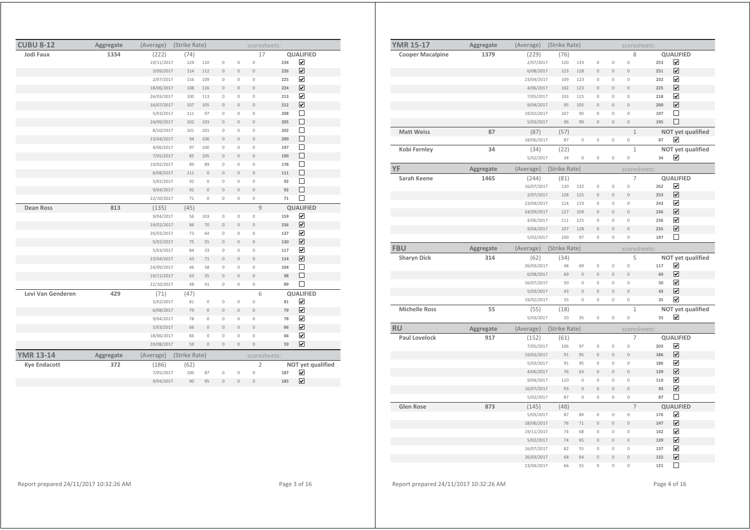| <b>CUBU 8-12</b>    | Aggregate | (Average)  | (Strike Rate) |                     |                |                     | scoresheets:        |     |                         |
|---------------------|-----------|------------|---------------|---------------------|----------------|---------------------|---------------------|-----|-------------------------|
| Jodi Faux           | 1334      | (222)      | (74)          |                     |                |                     | 17                  |     | <b>QUALIFIED</b>        |
|                     |           | 19/11/2017 | 124           | 110                 | $\mathbb O$    | $\circ$             | $\circ$             | 234 | ☑                       |
|                     |           | 3/09/2017  | 114           | 112                 | $\mathbf 0$    | $\mathbb O$         | $\mathbf 0$         | 226 | $\overline{\mathbf{v}}$ |
|                     |           | 2/07/2017  | 116           | 109                 | $\circ$        | $\mathbb O$         | $\mathbb O$         | 225 | $\overline{\mathbf{v}}$ |
|                     |           | 18/06/2017 | 108           | 116                 | $\overline{0}$ | $\mathbf{0}$        | $\overline{0}$      | 224 | $\overline{\mathbf{v}}$ |
|                     |           | 26/03/2017 | 100           | 113                 | $\circ$        | $\mathbb O$         | $\circ$             | 213 | $\overline{\mathbf{v}}$ |
|                     |           | 16/07/2017 | 107           | 105                 | $\mathbf 0$    | $\mathbb O$         | $\overline{0}$      | 212 | $\overline{\mathbf{v}}$ |
|                     |           | 5/03/2017  | 111           | 97                  | $\mathbb O$    | 0                   | $\mathbb O$         | 208 | □                       |
|                     |           | 24/09/2017 | 102           | 103                 | $\mathbf 0$    | 0                   | $\mathbf 0$         | 205 | □                       |
|                     |           | 8/10/2017  | 101           | 101                 | $\circ$        | 0                   | $\circ$             | 202 | $\Box$                  |
|                     |           | 23/04/2017 | 94            | 106                 | $\overline{0}$ | $\mathbf{0}$        | $\overline{0}$      | 200 | $\Box$                  |
|                     |           | 4/06/2017  | 97            | 100                 | $\circ$        | $\mathbb O$         | $\circ$             | 197 | $\Box$                  |
|                     |           | 7/05/2017  | 85            | 105                 | $\mathbf{0}$   | $\mathbb O$         | $\mathbf{0}$        | 190 | $\Box$                  |
|                     |           | 19/02/2017 | 89            | 89                  | $\mathbf 0$    | 0                   | $\circ$             | 178 | □                       |
|                     |           | 6/08/2017  | 111           | $\mathbb O$         | $\overline{0}$ | $\mathbf{0}$        | $\overline{0}$      | 111 | □                       |
|                     |           | 5/02/2017  | 92            | $\mathbb O$         | $\circ$        | $\mathsf{O}\xspace$ | $\mathbf 0$         | 92  | $\Box$                  |
|                     |           | 9/04/2017  | 92            | $\overline{0}$      | $\overline{0}$ | $\mathbf{0}$        | $\overline{0}$      | 92  | $\Box$                  |
|                     |           | 22/10/2017 | 71            | $\mathbf{0}$        | $\circ$        | $\mathbb O$         | $\mathbf 0$         | 71  | П                       |
| <b>Dean Ross</b>    | 813       | (135)      | (45)          |                     |                |                     | 9                   |     | <b>QUALIFIED</b>        |
|                     |           | 9/04/2017  | 56            | 103                 | $\circ$        | $\mathsf{O}\xspace$ | $\circ$             | 159 | ☑                       |
|                     |           | 19/02/2017 | 86            | 70                  | $\mathbf 0$    | $\mathbb O$         | $\overline{0}$      | 156 | ☑                       |
|                     |           | 26/03/2017 | 73            | 64                  | $\mathbb O$    | $\mathbb O$         | $\mathbb O$         | 137 | ☑                       |
|                     |           | 5/02/2017  | 75            | 55                  | $\overline{0}$ | $\overline{0}$      | $\overline{0}$      | 130 | ☑                       |
|                     |           | 5/03/2017  | 84            | 33                  | $\circ$        | 0                   | $\mathbb O$         | 117 | ☑                       |
|                     |           | 23/04/2017 | 43            | 71                  | $\overline{0}$ | $\circ$             | $\overline{0}$      | 114 | ☑                       |
|                     |           | 24/09/2017 | 46            | 58                  | $\circ$        | $\mathbf 0$         | $\circ$             | 104 | $\Box$                  |
|                     |           | 19/11/2017 | 63            | 35                  | $\mathbf{0}$   | $\mathbb O$         | $\overline{0}$      | 98  | $\Box$                  |
|                     |           | 22/10/2017 | 48            | 41                  | $\mathbf 0$    | 0                   | $\mathsf{O}\xspace$ | 89  | П                       |
| Levi Van Genderen   | 429       | (71)       | (47)          |                     |                |                     | 6                   |     | QUALIFIED               |
|                     |           | 5/02/2017  | 81            | $\mathbb O$         | $\mathbb O$    | $\mathbb O$         | $\circ$             | 81  | ☑                       |
|                     |           | 6/08/2017  | 79            | $\mathsf{O}\xspace$ | $\mathbf{0}$   | $\mathbf{0}$        | $\overline{0}$      | 79  | ☑                       |
|                     |           | 9/04/2017  | 78            | $\mathsf{O}\xspace$ | $\circ$        | 0                   | $\circ$             | 78  | $\overline{\mathbf{v}}$ |
|                     |           | 5/03/2017  | 66            | $\mathbb O$         | $\mathbb O$    | $\mathbb O$         | $\mathbb O$         | 66  | ☑                       |
|                     |           | 18/06/2017 | 66            | 0                   | $\circ$        | 0                   | $\circ$             | 66  | ☑                       |
|                     |           | 20/08/2017 | 59            | $\overline{0}$      | $\overline{0}$ | $\overline{0}$      | $\overline{0}$      | 59  | ☑                       |
| <b>YMR 13-14</b>    | Aggregate | (Average)  | (Strike Rate) |                     |                |                     | scoresheets:        |     |                         |
| <b>Kye Endacott</b> | 372       | (186)      | (62)          |                     |                |                     | $\overline{2}$      |     | NOT yet qualified       |
|                     |           | 7/05/2017  | 100           | 87                  | $\mathbb O$    | $\mathbb O$         | $\circ$             | 187 | ☑                       |
|                     |           | 9/04/2017  | 90            | 95                  | 0              | $\circ$             | $\circ$             | 185 | ☑                       |

| <b>YMR 15-17</b>        | Aggregate | (Average)          | (Strike Rate) |                            |                     |                                       | scoresheets:               |          |                                                 |
|-------------------------|-----------|--------------------|---------------|----------------------------|---------------------|---------------------------------------|----------------------------|----------|-------------------------------------------------|
| <b>Cooper Macalpine</b> | 1379      | (229)              | (76)          |                            |                     |                                       | 8                          |          | QUALIFIED                                       |
|                         |           | 2/07/2017          | 120           | 133                        | $\mathbf 0$         | $\circ$                               | $\circ$                    | 253      | $\overline{\mathbf{v}}$                         |
|                         |           | 6/08/2017          | 123           | 128                        | $\mathsf{O}\xspace$ | $\circ$                               | $\circ$                    | 251      | $\overline{\mathbf{v}}$                         |
|                         |           | 23/04/2017         | 109           | 123                        | 0                   | $\mathsf{O}\xspace$                   | $\circ$                    | 232      | ☑                                               |
|                         |           | 4/06/2017          | 102           | 123                        | $\overline{0}$      | $\mathbf{0}$                          | $\mathbf 0$                | 225      | $\overline{\mathbf{v}}$                         |
|                         |           | 7/05/2017          | 103           | 115                        | 0                   | $\mathbf 0$                           | $\mathbb O$                | 218      | $\blacktriangledown$                            |
|                         |           | 9/04/2017          | 95            | 105                        | $\overline{0}$      | $\overline{0}$                        | $\mathbf{0}$               | 200      | $\overline{\mathbf{v}}$                         |
|                         |           | 19/02/2017         | 107           | 90                         | $\mathbf 0$         | $\mathsf{O}\xspace$                   | $\mathbf 0$                | 197      | □                                               |
|                         |           | 5/03/2017          | 96            | 99                         | $\overline{0}$      | $\mathbb O$                           | $\mathbb O$                | 195      | $\Box$                                          |
| <b>Matt Weiss</b>       | 87        | (87)               | (57)          |                            |                     |                                       | $\mathbf{1}$               |          | NOT yet qualified                               |
|                         |           | 18/06/2017         | 87            | $\mathbb O$                | 0                   | $\mathbb O$                           | $\mathbb O$                | 87       | ✓                                               |
| Kobi Fernley            | 34        | (34)               | (22)          |                            |                     |                                       | $\mathbf{1}$               |          | NOT yet qualified                               |
|                         |           | 5/02/2017          | 34            | $\circ$                    | $\mathsf{O}\xspace$ | $\mathbb O$                           | $\mathbb O$                | 34       | ☑                                               |
| YF                      | Aggregate | (Average)          | (Strike Rate) |                            |                     |                                       | scoresheets:               |          |                                                 |
| Sarah Keene             | 1465      | (244)              | (81)          |                            |                     |                                       | 7                          |          | QUALIFIED                                       |
|                         |           | 16/07/2017         | 130           | 132                        | 0                   | $\circ$                               | $\circ$                    | 262      | $\overline{\mathbf{v}}$                         |
|                         |           | 2/07/2017          | 128           | 125                        | $\overline{0}$      | $\overline{0}$                        | $\overline{0}$             | 253      | $\overline{\mathbf{v}}$                         |
|                         |           | 23/04/2017         | 124           | 119                        | $\mathsf{O}\xspace$ | $\circ$                               | $\mathbb O$                | 243      | $\blacktriangledown$                            |
|                         |           | 24/09/2017         | 127           | 109                        | $\overline{0}$      | $\overline{0}$                        | $\overline{0}$             | 236      | $\overline{\mathbf{v}}$                         |
|                         |           | 4/06/2017          | 111           | 125                        | 0                   | 0                                     | $\circ$                    | 236      | $\overline{\mathbf{v}}$                         |
|                         |           | 9/04/2017          | 107           | 128                        | $\overline{0}$      | $\overline{0}$                        | $\mathbf 0$                | 235      | $\overline{\mathbf{v}}$<br>$\Box$               |
|                         |           | 5/02/2017          | 100           | 97                         | $\mathsf{O}\xspace$ | $\mathbb O$                           | 0                          | 197      |                                                 |
| <b>FBU</b>              | Aggregate | (Average)          | (Strike Rate) |                            |                     |                                       | scoresheets:               |          |                                                 |
| <b>Sharyn Dick</b>      | 314       | (62)               | (34)          |                            |                     |                                       | 5                          |          | NOT yet qualified                               |
|                         |           | 26/03/2017         | 48            | 69                         | $\mathsf{O}\xspace$ | $\mathsf{O}\xspace$                   | $\circ$                    | 117      | ☑                                               |
|                         |           | 6/08/2017          | 69            | $\mathbf{0}$               | $\overline{0}$      | $\circ$                               | $\circ$                    | 69       | $\overline{\mathbf{v}}$                         |
|                         |           | 16/07/2017         | 50            | $\mathbb O$                | 0                   | $\circ$                               | $\mathbb O$                | 50       | $\blacktriangledown$                            |
|                         |           | 5/03/2017          | 43            | $\mathbb O$                | $\mathsf{O}\xspace$ | $\mathbb O$                           | $\mathbb O$                | 43       | ☑                                               |
|                         |           | 19/02/2017         | 35            | $\mathbb O$                | 0                   | $\mathsf{O}\xspace$                   | $\mathbb O$                | 35       | $\blacktriangledown$                            |
| <b>Michelle Ross</b>    | 55        | (55)               | (18)          |                            |                     |                                       | $\mathbf{1}$               |          | NOT yet qualified                               |
|                         |           | 5/03/2017          | 20            | 35                         | 0                   | $\circ$                               | $\circ$                    | 55       | $\blacktriangledown$                            |
| <b>RU</b>               | Aggregate | (Average)          | (Strike Rate) |                            |                     |                                       | scoresheets:               |          |                                                 |
| <b>Paul Lovelock</b>    | 917       | (152)              | (61)          |                            |                     |                                       | $\overline{7}$             |          | QUALIFIED                                       |
|                         |           | 7/05/2017          | 106           | 97                         | $\circ$             | $\circ$                               | $\circ$                    | 203      | $\overline{\mathbf{v}}$                         |
|                         |           | 19/02/2017         | 91            | 95                         | $\mathsf{O}\xspace$ | $\mathsf{O}\xspace$                   | $\mathbb O$                | 186      | ☑                                               |
|                         |           | 5/03/2017          | 91            | 95                         | $\mathsf{O}\xspace$ | 0                                     | $\mathbb O$                | 186      | ☑                                               |
|                         |           | 4/06/2017          | 76            | 63                         | $\overline{0}$      | $\overline{0}$                        | $\overline{0}$             | 139      | $\overline{\mathbf{v}}$                         |
|                         |           | 9/04/2017          | 110           | $\circ$                    | $\mathbf 0$         | $\circ$                               | $\overline{0}$             | 110      | $\blacktriangledown$<br>$\overline{\mathbf{v}}$ |
|                         |           | 16/07/2017         | 93            | $\mathbb O$<br>$\mathbb O$ | $\circ$<br>0        | $\overline{0}$<br>$\mathsf{O}\xspace$ | $\mathbb O$<br>$\mathbb O$ | 93<br>87 | $\Box$                                          |
|                         |           | 5/02/2017          | 87            |                            |                     |                                       |                            |          |                                                 |
| <b>Glen Rose</b>        | 873       | (145)<br>5/03/2017 | (48)          |                            | $\mathbf 0$         |                                       | $\overline{7}$<br>$\circ$  | 176      | <b>QUALIFIED</b><br>$\overline{\mathbf{v}}$     |
|                         |           | 18/06/2017         | 87<br>76      | 89<br>71                   | $\mathsf{O}\xspace$ | $\mathbb O$<br>$\circ$                | $\mathbb O$                | 147      | $\overline{\mathbf{v}}$                         |
|                         |           | 19/11/2017         | 74            | 68                         | 0                   | $\mathsf{O}\xspace$                   | $\circ$                    | 142      | ☑                                               |
|                         |           | 5/02/2017          | 74            | 65                         | $\overline{0}$      | $\overline{0}$                        | $\overline{0}$             | 139      | $\overline{\mathbf{v}}$                         |
|                         |           | 16/07/2017         | 82            | 55                         | $\mathsf{O}\xspace$ | $\circ$                               | $\mathbb O$                | 137      | $\blacktriangledown$                            |
|                         |           | 26/03/2017         | 68            | 64                         | $\mathsf{O}\xspace$ | $\circ$                               | $\mathbb O$                | 132      | $\overline{\mathbf{v}}$                         |
|                         |           |                    |               |                            |                     |                                       |                            |          |                                                 |
|                         |           | 23/04/2017         | 66            | 55                         | 0                   | 0                                     | 0                          | 121      | □                                               |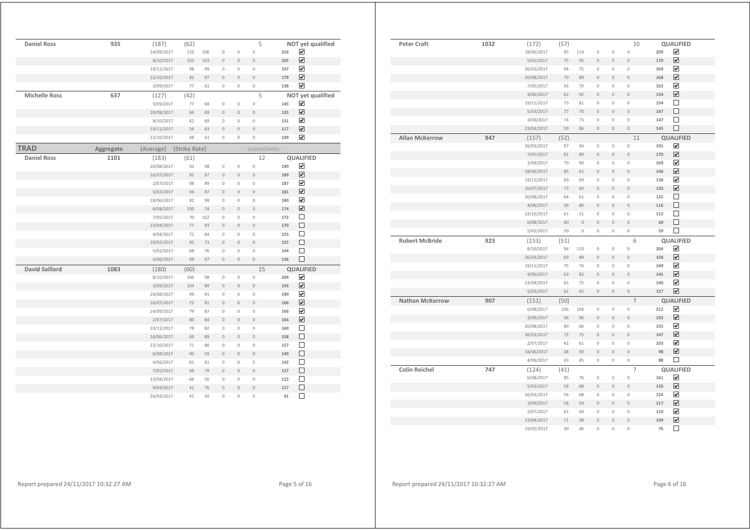| <b>Daniel Ross</b>    | 935       | (187)      | (62)          |     |                |                     | 5              |     | NOT yet qualified            |
|-----------------------|-----------|------------|---------------|-----|----------------|---------------------|----------------|-----|------------------------------|
|                       |           | 24/09/2017 | 110           | 106 | $\circ$        | $\mathsf{O}\xspace$ | $\circ$        | 216 | ☑                            |
|                       |           | 8/10/2017  | 102           | 103 | $\circ$        | $\mathbb O$         | $\circ$        | 205 | $\overline{\mathbf{v}}$      |
|                       |           | 19/11/2017 | 98            | 99  | $\overline{0}$ | 0                   | $\mathbf 0$    | 197 | ☑                            |
|                       |           | 22/10/2017 | 82            | 97  | $\circ$        | $\mathbb O$         | $\circ$        | 179 | $\overline{\mathbf{v}}$      |
|                       |           | 3/09/2017  | 77            | 61  | $\circ$        | 0                   | 0              | 138 | ☑                            |
| <b>Michelle Ross</b>  | 637       | (127)      | (42)          |     |                |                     | 5              |     | NOT yet qualified            |
|                       |           | 3/09/2017  | 77            | 68  | $\mathbb O$    | $\mathsf{O}\xspace$ | $\circ$        | 145 | ☑                            |
|                       |           | 20/08/2017 | 66            | 69  | $\mathbb O$    | $\mathbb O$         | $\overline{0}$ | 135 | $\overline{\mathbf{v}}$      |
|                       |           | 8/10/2017  | 62            | 69  | $\mathbf 0$    | $\mathbf 0$         | $\mathbf{0}$   | 131 | $\overline{\mathbf{v}}$      |
|                       |           | 19/11/2017 | 54            | 63  | $\overline{0}$ | $\mathbf{0}$        | $\overline{0}$ | 117 | ☑                            |
|                       |           | 22/10/2017 | 48            | 61  | $\mathbf 0$    | $\circ$             | $\overline{0}$ | 109 | ☑                            |
| <b>TRAD</b>           | Aggregate | (Average)  | (Strike Rate) |     |                |                     | scoresheets:   |     |                              |
| <b>Daniel Ross</b>    | 1101      | (183)      | (61)          |     |                |                     | 12             |     | <b>QUALIFIED</b>             |
|                       |           | 20/08/2017 | 92            | 98  | $\circ$        | $\mathsf{O}\xspace$ | $\circ$        | 190 | ☑                            |
|                       |           | 16/07/2017 | 92            | 97  | $\mathbf 0$    | $\mathsf{O}\xspace$ | $\overline{0}$ | 189 | $\overline{\mathbf{v}}$      |
|                       |           | 2/07/2017  | 98            | 89  | $\mathbf 0$    | 0                   | $\mathbb O$    | 187 | ☑                            |
|                       |           | 5/03/2017  | 94            | 87  | $\overline{0}$ | $\overline{0}$      | $\overline{0}$ | 181 | ☑                            |
|                       |           | 18/06/2017 | 82            | 98  | $\mathbb O$    | $\mathbb O$         | $\mathbb O$    | 180 | $\overline{\mathbf{v}}$      |
|                       |           | 6/08/2017  | 100           | 74  | $\overline{0}$ | $\overline{0}$      | $\overline{0}$ | 174 | ☑                            |
|                       |           | 7/05/2017  | 70            | 102 | $\mathbb O$    | $\mathbb O$         | $\mathbb O$    | 172 | □                            |
|                       |           | 23/04/2017 | 77            | 93  | $\overline{0}$ | $\overline{0}$      | $\overline{0}$ | 170 | $\Box$                       |
|                       |           | 9/04/2017  | 71            | 84  | $\circ$        | $\mathbb O$         | $\circ$        | 155 | П                            |
|                       |           | 19/02/2017 | 82            | 73  | $\overline{0}$ | $\mathbf{0}$        | $\overline{0}$ | 155 | $\Box$                       |
|                       |           | 5/02/2017  | 68            | 76  | $\mathbb O$    | 0                   | $\circ$        | 144 | □                            |
|                       |           | 4/06/2017  | 69            | 67  | $\mathbf{0}$   | $\mathbf{0}$        | $\overline{0}$ | 136 | $\Box$                       |
| <b>David Saillard</b> | 1083      | (180)      | (60)          |     |                |                     | 15             |     | <b>QUALIFIED</b>             |
|                       |           | 8/10/2017  | 106           | 98  | $\overline{0}$ | $\mathsf{O}\xspace$ | $\mathbf 0$    | 204 | ☑                            |
|                       |           | 3/09/2017  | 104           | 89  | $\circ$        | $\mathsf{O}\xspace$ | $\overline{0}$ | 193 | $\boxed{\blacktriangledown}$ |
|                       |           | 20/08/2017 | 99            | 91  | $\circ$        | $\circ$             | $\mathbf{0}$   | 190 | $\blacktriangledown$         |
|                       |           | 16/07/2017 | 75            | 91  | $\overline{0}$ | $\overline{0}$      | $\circ$        | 166 | $\overline{\mathbf{v}}$      |
|                       |           | 24/09/2017 | 79            | 87  | $\circ$        | 0                   | $\circ$        | 166 | $\overline{\mathbf{v}}$      |
|                       |           | 2/07/2017  | 80            | 84  | $\overline{0}$ | $\overline{0}$      | $\overline{0}$ | 164 | ☑                            |
|                       |           | 19/11/2017 | 78            | 82  | $\mathbb O$    | 0                   | $\circ$        | 160 | $\Box$                       |
|                       |           | 18/06/2017 | 69            | 89  | $\overline{0}$ | $\overline{0}$      | $\circ$        | 158 | $\Box$                       |
|                       |           | 22/10/2017 | 71            | 86  | $\circ$        | 0                   | $\circ$        | 157 | $\Box$                       |
|                       |           | 6/08/2017  | 90            | 59  | $\overline{0}$ | $\mathbf{0}$        | $\overline{0}$ | 149 | □                            |
|                       |           | 4/06/2017  | 81            | 61  | $\circ$        | 0                   | $\circ$        | 142 | $\Box$                       |
|                       |           | 7/05/2017  | 48            | 79  | $\mathbf 0$    | $\mathsf{O}\xspace$ | $\circ$        | 127 | $\Box$                       |
|                       |           | 23/04/2017 | 66            | 56  | $\overline{0}$ | 0                   | $\circ$        | 122 | $\Box$                       |
|                       |           | 9/04/2017  | 41            | 76  | $\overline{0}$ | $\overline{0}$      | $\circ$        | 117 | □                            |
|                       |           | 26/03/2017 | 41            | 50  | $\overline{0}$ | $\overline{0}$      | $\overline{0}$ | 91  | $\Box$                       |

| <b>Peter Craft</b>     | 1032 | (172)<br>18/06/2017      | (57)<br>95 | 114         | $\mathbb O$            | $\mathsf{O}\xspace$ | 10<br>$\circ$  | 209       | <b>QUALIFIED</b><br>$\overline{\mathbf{v}}$ |
|------------------------|------|--------------------------|------------|-------------|------------------------|---------------------|----------------|-----------|---------------------------------------------|
|                        |      | 5/02/2017                | 75         | 95          | $\mathbb O$            | $\mathsf{O}\xspace$ | $\circ$        | 170       | $\overline{\mathbf{v}}$                     |
|                        |      | 26/03/2017               | 94         | 75          | $\mathbb O$            | $\mathbb O$         | $\circ$        | 169       | $\overline{\mathbf{v}}$                     |
|                        |      | 20/08/2017               | 79         | 89          | $\mathbb O$            | $\mathbb O$         | $\circ$        | 168       | $\blacktriangledown$                        |
|                        |      | 7/05/2017                | 92         | 70          | $\mathbb O$            | $\mathbb O$         | $\circ$        | 162       | $\blacktriangledown$                        |
|                        |      | 4/06/2017                | 62         | 92          | $\mathbf{0}$           | $\overline{0}$      | $\circ$        | 154       | $\overline{\mathbf{v}}$                     |
|                        |      | 19/11/2017               | 73         | 81          | $\mathbb O$            | $\mathbb O$         | $\circ$        | 154       | $\Box$                                      |
|                        |      |                          | 77         | 70          | $\mathbf 0$            | $\mathbb O$         | $\circ$        | 147       | П                                           |
|                        |      | 5/03/2017                |            |             | $\mathbb O$            |                     |                |           | □                                           |
|                        |      | 3/09/2017                | 74         | 73          |                        | $\mathbb O$         | $\mathbb O$    | 147       |                                             |
|                        |      | 23/04/2017               | 59         | 86          | $\mathbb O$            | $\mathbb O$         | $\mathbb O$    | 145       | □                                           |
| <b>Allan McKerrow</b>  | 947  | (157)                    | (52)       |             |                        |                     | 11             |           | <b>QUALIFIED</b>                            |
|                        |      | 26/03/2017               | 97         | 94          | $\mathbb O$            | $\mathsf{O}\xspace$ | $\circ$        | 191       | $\overline{\mathbf{v}}$                     |
|                        |      | 7/05/2017                | 81         | 89          | $\mathbb O$            | $\mathsf{O}\xspace$ | $\overline{0}$ | 170       | $\blacktriangledown$                        |
|                        |      | 3/09/2017                | 79         | 90          | $\mathbb O$            | $\mathsf{O}\xspace$ | $\circ$        | 169       | $\overline{\mathbf{v}}$                     |
|                        |      | 18/06/2017               | 85         | 61          | $\mathbf{0}$           | $\mathbb O$         | $\circ$        | 146       | $\blacktriangledown$                        |
|                        |      | 19/11/2017               | 69         | 69          | $\mathbb O$            | 0                   | $\mathbb O$    | 138       | $\overline{\mathbf{v}}$                     |
|                        |      | 16/07/2017               | 73         | 60          | $\mathbf{0}$           | $\mathbf{0}$        | $\overline{0}$ | 133       | $\overline{\mathbf{v}}$                     |
|                        |      | 20/08/2017               | 64         | 61          | $\mathbb O$            | $\mathbb O$         | $\circ$        | 125       | $\Box$                                      |
|                        |      | 4/06/2017                | 36         | 80          | $\mathbb O$            | 0                   | $\mathbf 0$    | 116       | □                                           |
|                        |      | 22/10/2017               | 61         | 51          | $\mathbb O$            | $\mathbb O$         | $\mathbb O$    | 112       | $\Box$                                      |
|                        |      | 6/08/2017                | 60         | $\mathbb O$ | $\mathbb O$            | $\mathbb O$         | $\circ$        | 60        | □                                           |
|                        |      | 5/02/2017                | 59         | $\mathbb O$ | $\mathbb O$            | 0                   | 0              | 59        | $\Box$                                      |
| <b>Robert McBride</b>  | 923  | (153)                    | (51)       |             |                        |                     | 6              |           | <b>QUALIFIED</b>                            |
|                        |      | 8/10/2017                | 94         | 110         | $\mathbb O$            | $\mathsf{O}\xspace$ | $\circ$        | 204       | ☑                                           |
|                        |      | 26/03/2017               | 69         | 89          | $\mathbb O$            | $\mathbf{0}$        | $\overline{0}$ | 158       | $\overline{\mathbf{v}}$                     |
|                        |      | 19/11/2017               | 75         | 74          | $\mathbb O$            | $\mathsf{O}\xspace$ | $\circ$        | 149       | $\overline{\mathbf{v}}$                     |
|                        |      | 4/06/2017                | 63         | 82          | $\mathbb O$            | $\mathbb O$         | $\circ$        | 145       | ☑                                           |
|                        |      | 23/04/2017               | 65         | 75          | $\mathbb O$            | $\mathsf{O}\xspace$ | $\circ$        | 140       | $\overline{\mathbf{v}}$                     |
|                        |      | 5/03/2017                | 62         | 65          | $\mathbb O$            | $\mathbb O$         | $\mathbf 0$    | 127       | ☑                                           |
| <b>Nathan McKerrow</b> | 907  | (151)                    | (50)       |             |                        |                     | $\overline{7}$ |           | <b>QUALIFIED</b>                            |
|                        |      | 6/08/2017                | 106        | 106         | $\mathbb O$            | $\mathbb O$         | $\mathbb O$    | 212       | ☑                                           |
|                        |      | 3/09/2017                | 96         | 96          | $\mathbf 0$            | $\circ$             | $\circ$        | 192       | ☑                                           |
|                        |      | 20/08/2017               | 89         | 66          | $\mathbb O$            | $\mathbb O$         | $\circ$        | 155       | $\blacktriangledown$                        |
|                        |      | 26/03/2017               | 72         | 75          | $\circ$                | $\mathbf{0}$        | $\overline{0}$ | 147       | ☑                                           |
|                        |      |                          | 42         | 61          | $\mathbb O$            | $\mathsf{O}\xspace$ | $\circ$        | 103       | $\blacktriangledown$                        |
|                        |      |                          |            |             |                        |                     |                |           |                                             |
|                        |      | 2/07/2017                |            |             |                        |                     |                |           |                                             |
|                        |      | 18/06/2017               | 48         | 50          | $\mathbb O$            | $\mathbb O$         | $\mathbb O$    | 98        | $\blacktriangledown$                        |
|                        |      | 4/06/2017                | 43         | 45          | $\mathbb O$            | $\mathbb O$         | $\mathbb O$    | 88        | П                                           |
| <b>Colin Reichel</b>   | 747  | (124)                    | (41)       |             |                        |                     | $\overline{7}$ |           | <b>QUALIFIED</b>                            |
|                        |      | 6/08/2017                | 85         | 76          | $\mathbb O$            | $\mathsf{O}\xspace$ | $\circ$        | 161       | $\blacktriangledown$                        |
|                        |      | 5/03/2017                | 58         | 68          | $\mathbb O$            | 0                   | $\mathbf 0$    | 126       | $\overline{\mathbf{v}}$                     |
|                        |      | 26/03/2017               | 56         | 68          | $\mathbb O$            | $\mathbb O$         | $\circ$        | 124       | $\blacktriangledown$                        |
|                        |      | 3/09/2017                | 58         | 59          | $\mathbb O$            | $\mathsf{O}\xspace$ | $\circ$        | 117       | ☑                                           |
|                        |      | 2/07/2017                | 61         | 49          | $\mathbb O$            | $\mathbb O$         | $\circ$        | 110       | $\blacktriangledown$                        |
|                        |      | 23/04/2017<br>19/02/2017 | 71<br>30   | 38<br>46    | $\circ$<br>$\mathbb O$ | $\mathbb O$<br>0    | $\circ$<br>0   | 109<br>76 | ☑<br>⊏                                      |

Report prepared 24/11/2017 10:32:27 AM Page 6 of 16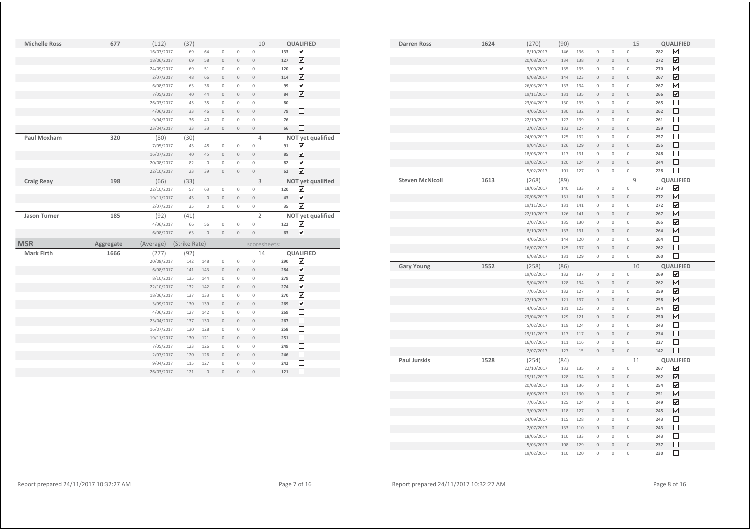| <b>Michelle Ross</b> | 677       | (112)      | (37)          |                |                |                | 10                  |     | <b>QUALIFIED</b>             |  |
|----------------------|-----------|------------|---------------|----------------|----------------|----------------|---------------------|-----|------------------------------|--|
|                      |           | 16/07/2017 | 69            | 64             | $\mathbb O$    | $\mathbb O$    | $\mathbf 0$         | 133 | ☑                            |  |
|                      |           | 18/06/2017 | 69            | 58             | $\mathbb O$    | $\overline{0}$ | $\overline{0}$      | 127 | $\overline{\mathbf{v}}$      |  |
|                      |           | 24/09/2017 | 69            | 51             | $\mathbb O$    | $\mathbb O$    | $\mathsf{O}\xspace$ | 120 | $\overline{\mathbf{v}}$      |  |
|                      |           | 2/07/2017  | 48            | 66             | $\mathbf 0$    | $\overline{0}$ | $\overline{0}$      | 114 | $\boxed{\blacktriangledown}$ |  |
|                      |           | 6/08/2017  | 63            | 36             | $\mathbb O$    | $\mathbb O$    | $\mathbf 0$         | 99  | $\overline{\mathbf{v}}$      |  |
|                      |           | 7/05/2017  | 40            | 44             | $\mathbf 0$    | $\mathbf{0}$   | $\overline{0}$      | 84  | $\overline{\mathbf{v}}$      |  |
|                      |           | 26/03/2017 | 45            | 35             | $\circ$        | $\mathbb O$    | $\mathsf{O}\xspace$ | 80  | $\Box$                       |  |
|                      |           | 4/06/2017  | 33            | 46             | $\mathbb O$    | $\mathbf{0}$   | $\overline{0}$      | 79  | $\Box$                       |  |
|                      |           | 9/04/2017  | 36            | 40             | $\mathbb O$    | $\mathbb O$    | $\mathsf{O}\xspace$ | 76  | $\Box$                       |  |
|                      |           | 23/04/2017 | 33            | 33             | $\mathbb O$    | $\mathbb O$    | $\mathbf 0$         | 66  | $\Box$                       |  |
| Paul Moxham          | 320       | (80)       | (30)          |                |                |                | $\overline{4}$      |     | NOT yet qualified            |  |
|                      |           | 7/05/2017  | 43            | 48             | $\circ$        | $\mathbf{0}$   | $\circ$             | 91  | ☑                            |  |
|                      |           | 16/07/2017 | 40            | 45             | $\mathbb O$    | $\overline{0}$ | $\overline{0}$      | 85  | $\overline{\mathbf{v}}$      |  |
|                      |           | 20/08/2017 | 82            | $\mathbf{0}$   | $\mathbf 0$    | $\circ$        | $\mathbf 0$         | 82  | $\overline{\mathbf{v}}$      |  |
|                      |           | 22/10/2017 | 23            | 39             | $\mathbb O$    | $\mathbb O$    | $\overline{0}$      | 62  | $\overline{\mathbf{v}}$      |  |
| <b>Craig Reay</b>    | 198       | (66)       | (33)          |                |                |                | 3                   |     | NOT yet qualified            |  |
|                      |           | 22/10/2017 | 57            | 63             | $\mathbb O$    | $\mathbb O$    | $\mathsf{O}\xspace$ | 120 | $\overline{\mathbf{v}}$      |  |
|                      |           | 19/11/2017 | 43            | $\mathbb O$    | $\mathbb O$    | $\mathbf{0}$   | $\mathbf 0$         | 43  | ☑                            |  |
|                      |           | 2/07/2017  | 35            | $\circ$        | $\circ$        | $\mathbb O$    | $\mathsf{O}\xspace$ | 35  | $\overline{\mathbf{v}}$      |  |
| <b>Jason Turner</b>  | 185       | (92)       | (41)          |                |                |                | $\overline{2}$      |     | NOT yet qualified            |  |
|                      |           | 4/06/2017  | 66            | 56             | $\mathbb O$    | $\mathbb O$    | 0                   | 122 | ☑                            |  |
|                      |           | 6/08/2017  | 63            | $\overline{0}$ | $\mathbf{0}$   | $\overline{0}$ | $\overline{0}$      | 63  | $\overline{\mathbf{v}}$      |  |
| <b>MSR</b>           | Aggregate | (Average)  | (Strike Rate) |                |                |                | scoresheets:        |     |                              |  |
| <b>Mark Firth</b>    | 1666      | (277)      | (92)          |                |                |                | 14                  |     | <b>QUALIFIED</b>             |  |
|                      |           | 20/08/2017 | 142           | 148            | $\mathbb O$    | $\mathbb O$    | $\mathbf 0$         | 290 | ☑                            |  |
|                      |           | 6/08/2017  | 141           | 143            | $\mathbb O$    | $\mathbb O$    | $\mathbf 0$         | 284 | $\overline{\mathbf{v}}$      |  |
|                      |           | 8/10/2017  | 135           | 144            | $\mathbb O$    | $\mathbb O$    | $\mathsf{O}\xspace$ | 279 | $\boxed{\blacktriangledown}$ |  |
|                      |           | 22/10/2017 | 132           | 142            | $\mathbf{0}$   | $\overline{0}$ | $\overline{0}$      | 274 | $\overline{\mathbf{v}}$      |  |
|                      |           | 18/06/2017 | 137           | 133            | $\mathbb O$    | $\mathbb O$    | $\mathsf{O}\xspace$ | 270 | $\overline{\mathbf{v}}$      |  |
|                      |           | 3/09/2017  | 130           | 139            | $\mathbf{0}$   | $\mathbf{0}$   | $\overline{0}$      | 269 | $\overline{\mathbf{v}}$      |  |
|                      |           | 4/06/2017  | 127           | 142            | $\mathbf 0$    | $\circ$        | $\mathbf 0$         | 269 | $\Box$                       |  |
|                      |           | 23/04/2017 | 137           | 130            | $\mathbb O$    | $\mathbf{0}$   | $\overline{0}$      | 267 | $\Box$                       |  |
|                      |           | 16/07/2017 | 130           | 128            | $\mathbb O$    | $\circ$        | $\mathbf 0$         | 258 | $\Box$                       |  |
|                      |           | 19/11/2017 | 130           | 121            | $\mathbb O$    | $\mathbb O$    | $\mathbf 0$         | 251 | $\Box$                       |  |
|                      |           | 7/05/2017  | 123           | 126            | $\mathbf 0$    | $\circ$        | $\mathbf 0$         | 249 | $\Box$                       |  |
|                      |           | 2/07/2017  | 120           | 126            | $\mathbb O$    | $\mathbf 0$    | $\mathbf 0$         | 246 | $\Box$                       |  |
|                      |           | 9/04/2017  | 115           | 127            | $\mathbb O$    | $\mathbb O$    | $\mathsf{O}\xspace$ | 242 | $\Box$                       |  |
|                      |           | 26/03/2017 | 121           | $\mathbf 0$    | $\overline{0}$ | $\overline{0}$ | $\circ$             | 121 | $\Box$                       |  |

| <b>Darren Ross</b>     | 1624 | (270)      | (90) |     |                     |                     | 15                  |     | QUALIFIED               |  |
|------------------------|------|------------|------|-----|---------------------|---------------------|---------------------|-----|-------------------------|--|
|                        |      | 8/10/2017  | 146  | 136 | $\mathbb O$         | $\mathbb O$         | $\mathbb O$         | 282 | $\overline{\mathbf{v}}$ |  |
|                        |      | 20/08/2017 | 134  | 138 | $\mathbb O$         | $\mathbb O$         | $\overline{0}$      | 272 | $\overline{\mathbf{v}}$ |  |
|                        |      | 3/09/2017  | 135  | 135 | $\mathbb O$         | $\mathbb O$         | $\circ$             | 270 | $\overline{\mathbf{v}}$ |  |
|                        |      | 6/08/2017  | 144  | 123 | $\mathsf{O}\xspace$ | $\mathsf{O}\xspace$ | $\circ$             | 267 | $\overline{\mathbf{v}}$ |  |
|                        |      | 26/03/2017 | 133  | 134 | $\mathbb O$         | $\mathbb O$         | $\mathbb O$         | 267 | $\blacktriangledown$    |  |
|                        |      | 19/11/2017 | 131  | 135 | $\mathsf{O}\xspace$ | $\circ$             | $\circ$             | 266 | $\overline{\mathbf{v}}$ |  |
|                        |      | 23/04/2017 | 130  | 135 | $\mathbb O$         | $\mathbb O$         | $\mathbb O$         | 265 | □                       |  |
|                        |      | 4/06/2017  | 130  | 132 | $\mathsf{O}\xspace$ | $\circ$             | $\circ$             | 262 | $\Box$                  |  |
|                        |      | 22/10/2017 | 122  | 139 | 0                   | $\circ$             | $\circ$             | 261 | $\Box$                  |  |
|                        |      | 2/07/2017  | 132  | 127 | $\mathsf{O}\xspace$ | $\circ$             | $\circ$             | 259 | $\Box$                  |  |
|                        |      | 24/09/2017 | 125  | 132 | 0                   | $\circ$             | $\circ$             | 257 | $\Box$                  |  |
|                        |      | 9/04/2017  | 126  | 129 | $\mathsf{O}\xspace$ | $\circ$             | $\circ$             | 255 | $\Box$                  |  |
|                        |      | 18/06/2017 | 117  | 131 | $\mathsf{O}\xspace$ | $\circ$             | $\circ$             | 248 | $\Box$                  |  |
|                        |      | 19/02/2017 | 120  | 124 | $\mathsf{O}\xspace$ | $\mathbf{0}$        | $\circ$             | 244 | $\Box$                  |  |
|                        |      | 5/02/2017  | 101  | 127 | $\mathsf{O}\xspace$ | $\mathbb O$         | $\mathsf{O}\xspace$ | 228 | $\Box$                  |  |
| <b>Steven McNicoll</b> | 1613 | (268)      | (89) |     |                     |                     | 9                   |     | <b>QUALIFIED</b>        |  |
|                        |      | 18/06/2017 | 140  | 133 | 0                   | $\mathbb O$         | $\mathbb O$         | 273 | $\overline{\mathbf{v}}$ |  |
|                        |      | 20/08/2017 | 131  | 141 | $\mathsf{O}\xspace$ | $\circ$             | $\circ$             | 272 | $\overline{\mathbf{v}}$ |  |
|                        |      | 19/11/2017 | 131  | 141 | 0                   | $\mathbb O$         | $\circ$             | 272 | $\overline{\mathbf{v}}$ |  |
|                        |      | 22/10/2017 | 126  | 141 | $\mathsf{O}\xspace$ | $\mathbf 0$         | $\circ$             | 267 | $\overline{\mathbf{v}}$ |  |
|                        |      | 2/07/2017  | 135  | 130 | 0                   | $\circ$             | $\circ$             | 265 | ☑                       |  |
|                        |      | 8/10/2017  | 133  | 131 | $\mathsf{O}\xspace$ | $\circ$             | $\circ$             | 264 | $\overline{\mathbf{v}}$ |  |
|                        |      | 4/06/2017  | 144  | 120 | 0                   | $\circ$             | $\circ$             | 264 | □                       |  |
|                        |      | 16/07/2017 | 125  | 137 | $\mathbb O$         | $\mathbb O$         | $\circ$             | 262 | □                       |  |
|                        |      | 6/08/2017  | 131  | 129 | 0                   | $\mathsf{O}\xspace$ | $\mathsf{O}\xspace$ | 260 | $\Box$                  |  |
| <b>Gary Young</b>      | 1552 | (258)      | (86) |     |                     |                     | 10                  |     | QUALIFIED               |  |
|                        |      | 19/02/2017 | 132  | 137 | $\mathbb O$         | $\circ$             | $\circ$             | 269 | ☑                       |  |
|                        |      | 9/04/2017  | 128  | 134 | $\mathbb O$         | $\mathbf{0}$        | $\circ$             | 262 | $\overline{\mathbf{v}}$ |  |
|                        |      | 7/05/2017  | 132  | 127 | $\mathbb O$         | $\circ$             | $\circ$             | 259 | $\overline{\mathbf{v}}$ |  |
|                        |      | 22/10/2017 | 121  | 137 | $\circ$             | $\mathbf{0}$        | $\circ$             | 258 | ☑                       |  |
|                        |      | 4/06/2017  | 131  | 123 | $\mathbb O$         | $\circ$             | $\circ$             | 254 | $\overline{\mathbf{v}}$ |  |
|                        |      | 23/04/2017 | 129  | 121 | $\mathsf{O}\xspace$ | $\mathbf 0$         | $\circ$             | 250 | $\overline{\mathbf{v}}$ |  |
|                        |      | 5/02/2017  | 119  | 124 | $\mathbb O$         | $\circ$             | $\circ$             | 243 | $\Box$                  |  |
|                        |      | 19/11/2017 | 117  | 117 | $\mathsf{O}\xspace$ | $\circ$             | $\circ$             | 234 | $\Box$                  |  |
|                        |      | 16/07/2017 | 111  | 116 | $\mathbb O$         | $\circ$             | $\mathbf 0$         | 227 | $\Box$                  |  |
|                        |      | 2/07/2017  | 127  | 15  | $\mathbb O$         | $\mathbb O$         | $\mathbb O$         | 142 | $\Box$                  |  |
| <b>Paul Jurskis</b>    | 1528 | (254)      | (84) |     |                     |                     | 11                  |     | QUALIFIED               |  |
|                        |      | 22/10/2017 | 132  | 135 | $\mathbb O$         | $\mathbb O$         | $\mathbf 0$         | 267 | $\overline{\mathbf{v}}$ |  |
|                        |      | 19/11/2017 | 128  | 134 | $\mathsf{O}\xspace$ | $\circ$             | $\overline{0}$      | 262 | $\overline{\mathbf{v}}$ |  |
|                        |      | 20/08/2017 | 118  | 136 | $\mathbb O$         | $\circ$             | $\mathbf 0$         | 254 | $\blacktriangledown$    |  |
|                        |      | 6/08/2017  | 121  | 130 | $\circ$             | $\mathbf{0}$        | $\circ$             | 251 | $\overline{\mathbf{v}}$ |  |
|                        |      | 7/05/2017  | 125  | 124 | $\mathbb O$         | $\circ$             | $\circ$             | 249 | $\overline{\mathbf{v}}$ |  |
|                        |      | 3/09/2017  | 118  | 127 | $\circ$             | $\mathbf{0}$        | $\circ$             | 245 | $\overline{\mathbf{v}}$ |  |
|                        |      | 24/09/2017 | 115  | 128 | $\mathbb O$         | $\circ$             | $\circ$             | 243 | П                       |  |
|                        |      | 2/07/2017  | 133  | 110 | $\circ$             | $\circ$             | $\circ$             | 243 | $\Box$                  |  |
|                        |      | 18/06/2017 | 110  | 133 | $\mathbb O$         | $\mathbf 0$         | $\overline{0}$      | 243 | П                       |  |
|                        |      | 5/03/2017  | 108  | 129 | $\overline{0}$      | $\circ$             | $\overline{0}$      | 237 | $\Box$                  |  |
|                        |      | 19/02/2017 | 110  | 120 | 0                   | $\circ$             | $\circ$             | 230 | $\Box$                  |  |
|                        |      |            |      |     |                     |                     |                     |     |                         |  |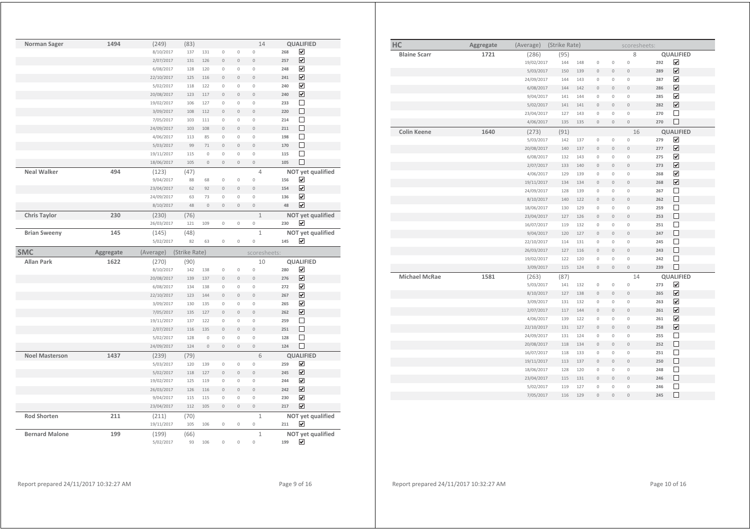| Norman Sager          | 1494      | (249)              | (83)          |                    |                               |                                  | 14                             | <b>QUALIFIED</b>               |  |
|-----------------------|-----------|--------------------|---------------|--------------------|-------------------------------|----------------------------------|--------------------------------|--------------------------------|--|
|                       |           | 8/10/2017          | 137           | 131                | $\mathbb O$                   | $\mathsf{O}\xspace$              | $\mathsf{O}\xspace$            | ☑<br>268                       |  |
|                       |           | 2/07/2017          | 131           | 126                | $\mathbb O$                   | $\circ$                          | $\overline{0}$                 | ☑<br>257                       |  |
|                       |           | 6/08/2017          | 128           | 120                | $\mathbb O$                   | $\mathsf{O}\xspace$              | 0                              | ☑<br>248                       |  |
|                       |           | 22/10/2017         | 125           | 116                | $\mathbf{0}$                  | $\overline{0}$                   | $\overline{0}$                 | ☑<br>241                       |  |
|                       |           | 5/02/2017          | 118           | 122                | $\mathbb O$                   | $\mathbb O$                      | $\mathsf{O}\xspace$            | ☑<br>240                       |  |
|                       |           | 20/08/2017         | 123           | 117                | $\circ$                       | $\overline{0}$                   | $\overline{0}$                 | ☑<br>240                       |  |
|                       |           | 19/02/2017         | 106           | 127                | $\mathbb O$                   | $\mathbb O$                      | $\mathsf{O}\xspace$            | $\Box$<br>233                  |  |
|                       |           | 3/09/2017          | 108           | 112                | $\mathbf{0}$                  | $\overline{0}$                   | $\overline{0}$                 | П<br>220                       |  |
|                       |           | 7/05/2017          | 103           | 111                | $\mathbb O$                   | $\mathsf{O}\xspace$              | 0                              | $\Box$<br>214                  |  |
|                       |           | 24/09/2017         | 103           | 108                | $\overline{0}$                | $\mathsf{O}\xspace$              | $\overline{0}$                 | $\Box$<br>211                  |  |
|                       |           | 4/06/2017          | 113           | 85                 | $\mathbf 0$                   | $\overline{0}$                   | $\mathbf 0$                    | $\Box$<br>198                  |  |
|                       |           | 5/03/2017          | 99            | 71                 | $\mathbf{0}$                  | $\overline{0}$                   | $\overline{0}$                 | $\Box$<br>170                  |  |
|                       |           | 19/11/2017         | 115           | $\circ$            | $\mathbb O$                   | $\mathsf{O}\xspace$              | $\circ$                        | $\Box$<br>115                  |  |
|                       |           | 18/06/2017         | 105           | $\overline{0}$     | $\mathbf{0}$                  | $\overline{0}$                   | $\mathbf{0}$                   | $\Box$<br>105                  |  |
| <b>Neal Walker</b>    | 494       | (123)              | (47)          |                    |                               |                                  | $\overline{4}$                 | NOT yet qualified              |  |
|                       |           | 9/04/2017          | 88            | 68                 | $\mathbb O$                   | $\mathbb O$                      | 0                              | ☑<br>156                       |  |
|                       |           | 23/04/2017         | 62            | 92                 | $\mathbb O$                   | $\mathsf{O}\xspace$              | $\circ$                        | $\overline{\mathbf{v}}$<br>154 |  |
|                       |           | 24/09/2017         | 63            | 73                 | $\mathbf 0$                   | $\overline{0}$                   | $\circ$                        | $\overline{\mathbf{v}}$<br>136 |  |
|                       |           | 8/10/2017          | 48            | $\overline{0}$     | $\mathbf{0}$                  | $\overline{0}$                   | $\overline{0}$                 | $\overline{\mathbf{v}}$<br>48  |  |
| <b>Chris Taylor</b>   | 230       | (230)              | (76)          |                    |                               |                                  | $\mathbf{1}$                   | NOT yet qualified              |  |
|                       |           | 26/03/2017         | 121           | 109                | $\mathbb O$                   | $\mathbb O$                      | $\mathbb O$                    | ☑<br>230                       |  |
| <b>Brian Sweeny</b>   | 145       | (145)              | (48)          |                    |                               |                                  | $1\,$                          | NOT yet qualified              |  |
|                       |           | 5/02/2017          | 82            | 63                 | $\mathbb O$                   | $\mathsf{O}\xspace$              | $\mathbf 0$                    | ☑<br>145                       |  |
|                       |           |                    |               |                    |                               |                                  |                                |                                |  |
|                       |           |                    |               |                    |                               |                                  |                                |                                |  |
| <b>SMC</b>            | Aggregate | (Average)          | (Strike Rate) |                    |                               |                                  | scoresheets:                   |                                |  |
| <b>Allan Park</b>     | 1622      | (270)              | (90)          |                    |                               |                                  | 10                             | <b>QUALIFIED</b>               |  |
|                       |           | 8/10/2017          | 142           | 138<br>137         | $\mathbb O$<br>$\overline{0}$ | $\overline{0}$<br>$\overline{0}$ | $\mathbb O$<br>$\overline{0}$  | ☑<br>280<br>276                |  |
|                       |           | 20/08/2017         | 139           |                    |                               |                                  |                                | $\overline{\mathbf{v}}$        |  |
|                       |           | 6/08/2017          | 134           | 138                | $\mathbb O$                   | $\mathbf 0$                      | $\mathsf{O}\xspace$            | ☑<br>272                       |  |
|                       |           | 22/10/2017         | 123           | 144                | $\mathbf 0$                   | $\overline{0}$                   | $\overline{0}$                 | ☑<br>267                       |  |
|                       |           | 3/09/2017          | 130<br>135    | 135<br>127         | $\mathbb O$<br>$\mathbf{0}$   | $\mathbf 0$<br>$\overline{0}$    | 0<br>$\overline{0}$            | ☑<br>265<br>262                |  |
|                       |           | 7/05/2017          |               |                    |                               |                                  |                                | ☑<br>259                       |  |
|                       |           | 19/11/2017         | 137           | 122                | $\mathbb O$                   | $\mathsf{O}\xspace$              | $\mathsf{O}\xspace$            | □                              |  |
|                       |           | 2/07/2017          | 116<br>128    | 135<br>$\mathbf 0$ | $\mathbf 0$<br>$\mathbb O$    | $\circ$<br>$\overline{0}$        | $\overline{0}$<br>$\circ$      | $\Box$<br>251<br>□<br>128      |  |
|                       |           | 5/02/2017          | 124           | $\mathbf 0$        | $\mathbb O$                   | $\mathbb O$                      | $\mathsf{O}\xspace$            | □<br>124                       |  |
|                       |           | 24/09/2017         |               |                    |                               |                                  |                                |                                |  |
| <b>Noel Masterson</b> | 1437      | (239)              | (79)          |                    |                               |                                  | 6                              | <b>QUALIFIED</b>               |  |
|                       |           | 5/03/2017          | 120           | 139                | $\mathbb O$                   | $\circ$                          | $\circ$                        | ☑<br>259                       |  |
|                       |           | 5/02/2017          | 118           | 127                | $\mathbf{0}$                  | $\overline{0}$                   | $\circ$                        | $\overline{\mathbf{v}}$<br>245 |  |
|                       |           | 19/02/2017         | 125           | 119                | $\circ$                       | $\overline{0}$                   | $\overline{0}$                 | ☑<br>244                       |  |
|                       |           | 26/03/2017         | 126           | 116                | $\mathbf 0$                   | $\circ$                          | $\circ$                        | ☑<br>242                       |  |
|                       |           | 9/04/2017          | 115           | 115                | $\mathbb O$                   | $\mathbf 0$                      | $\circ$                        | ☑<br>230<br>217                |  |
|                       |           | 23/04/2017         | 112           | 105                | $\mathbb O$                   | $\mathbb O$                      | $\circ$                        | ☑                              |  |
| <b>Rod Shorten</b>    | 211       | (211)              | (70)          |                    |                               |                                  | $\mathbf{1}$                   | NOT yet qualified              |  |
|                       |           | 19/11/2017         | 105           | 106                | $\mathbb O$                   | $\mathsf{O}\xspace$              | $\mathbf 0$                    | ☑<br>211                       |  |
| <b>Bernard Malone</b> | 199       | (199)<br>5/02/2017 | (66)<br>93    | 106                | $\overline{0}$                | $\overline{0}$                   | $\mathbf{1}$<br>$\overline{0}$ | NOT yet qualified<br>⊽<br>199  |  |

| HC                   | Aggregate | (Average)  | (Strike Rate) |     |              |                     | scoresheets:        |                                |
|----------------------|-----------|------------|---------------|-----|--------------|---------------------|---------------------|--------------------------------|
| <b>Blaine Scarr</b>  | 1721      | (286)      | (95)          |     |              |                     | 8                   | <b>QUALIFIED</b>               |
|                      |           | 19/02/2017 | 144           | 148 | $\mathbb O$  | $\circ$             | $\circ$             | $\blacktriangledown$<br>292    |
|                      |           | 5/03/2017  | 150           | 139 | $\circ$      | $\mathbb O$         | $\mathbf 0$         | $\overline{\mathbf{v}}$<br>289 |
|                      |           | 24/09/2017 | 144           | 143 | $\mathbf{0}$ | $\mathsf{O}\xspace$ | $\mathbb O$         | $\overline{\mathbf{v}}$<br>287 |
|                      |           | 6/08/2017  | 144           | 142 | $\mathbb O$  | $\mathbb O$         | $\mathbb O$         | $\overline{\mathbf{v}}$<br>286 |
|                      |           | 9/04/2017  | 141           | 144 | $\mathbb O$  | $\mathsf{O}\xspace$ | $\mathbb O$         | $\blacktriangledown$<br>285    |
|                      |           | 5/02/2017  | 141           | 141 | $\circ$      | $\mathbb O$         | $\mathsf{O}\xspace$ | $\overline{\mathbf{v}}$<br>282 |
|                      |           | 23/04/2017 | 127           | 143 | $\mathbf{0}$ | $\mathsf{O}\xspace$ | $\mathbb O$         | $\Box$<br>270                  |
|                      |           | 4/06/2017  | 135           | 135 | $\mathbb O$  | $\mathbb O$         | $\mathsf{O}\xspace$ | □<br>270                       |
| <b>Colin Keene</b>   | 1640      | (273)      | (91)          |     |              |                     | 16                  | QUALIFIED                      |
|                      |           | 5/03/2017  | 142           | 137 | 0            | $\mathbb O$         | 0                   | $\overline{\mathbf{v}}$<br>279 |
|                      |           | 20/08/2017 | 140           | 137 | $\mathbf{0}$ | $\mathsf{O}\xspace$ | $\mathbb O$         | $\overline{\mathbf{v}}$<br>277 |
|                      |           | 6/08/2017  | 132           | 143 | $\circ$      | $\mathbb O$         | 0                   | $\overline{\mathbf{v}}$<br>275 |
|                      |           | 2/07/2017  | 133           | 140 | $\mathbb O$  | $\mathbb O$         | $\mathsf{O}\xspace$ | $\blacktriangledown$<br>273    |
|                      |           | 4/06/2017  | 129           | 139 | $\mathbb O$  | $\mathbb O$         | $\mathbb O$         | $\overline{\mathbf{v}}$<br>268 |
|                      |           | 19/11/2017 | 134           | 134 | $\mathbf{0}$ | $\mathbb O$         | $\mathbb O$         | $\blacktriangledown$<br>268    |
|                      |           | 24/09/2017 | 128           | 139 | $\circ$      | $\mathbb O$         | 0                   | $\Box$<br>267                  |
|                      |           | 8/10/2017  | 140           | 122 | $\mathbb O$  | $\mathbb O$         | $\mathbb O$         | □<br>262                       |
|                      |           | 18/06/2017 | 130           | 129 | $\mathbb O$  | $\mathsf{O}\xspace$ | $\mathbb O$         | $\Box$<br>259                  |
|                      |           | 23/04/2017 | 127           | 126 | $\mathbb O$  | $\mathbf 0$         | $\mathbb O$         | $\Box$<br>253                  |
|                      |           | 16/07/2017 | 119           | 132 | $\circ$      | $\mathsf{O}\xspace$ | $\mathbb O$         | $\Box$<br>251                  |
|                      |           | 9/04/2017  | 120           | 127 | $\mathbb O$  | $\mathbf 0$         | $\mathsf{O}\xspace$ | □<br>247                       |
|                      |           | 22/10/2017 | 114           | 131 | $\mathbb O$  | $\mathsf{O}\xspace$ | $\mathbb O$         | □<br>245                       |
|                      |           | 26/03/2017 | 127           | 116 | $\mathbb O$  | $\mathbf 0$         | $\mathbb O$         | $\Box$<br>243                  |
|                      |           | 19/02/2017 | 122           | 120 | $\circ$      | $\mathsf{O}\xspace$ | $\mathbb O$         | ⊔<br>242                       |
|                      |           | 3/09/2017  | 115           | 124 | $\mathbb O$  | $\mathbb O$         | $\mathsf{O}\xspace$ | о<br>239                       |
| <b>Michael McRae</b> | 1581      | (263)      | (87)          |     |              |                     | 14                  | QUALIFIED                      |
|                      |           | 5/03/2017  | 141           | 132 | $\mathbb O$  | $\mathbb O$         | $\mathbb O$         | $\blacktriangledown$<br>273    |
|                      |           | 8/10/2017  | 127           | 138 | $\mathbb O$  | $\mathbf 0$         | $\mathbb O$         | $\blacktriangledown$<br>265    |
|                      |           | 3/09/2017  | 131           | 132 | $\circ$      | $\mathbb O$         | $\circ$             | $\overline{\mathbf{v}}$<br>263 |
|                      |           | 2/07/2017  | 117           | 144 | $\mathbb O$  | $\mathbb O$         | $\mathbb O$         | $\blacktriangledown$<br>261    |
|                      |           | 4/06/2017  | 139           | 122 | $\mathbb O$  | $\mathbb O$         | $\mathbb O$         | $\overline{\mathbf{v}}$<br>261 |
|                      |           | 22/10/2017 | 131           | 127 | $\circ$      | $\mathbb O$         | $\mathbb O$         | $\blacktriangledown$<br>258    |
|                      |           | 24/09/2017 | 131           | 124 | $\mathbb O$  | $\mathsf{O}\xspace$ | $\mathbb O$         | $\Box$<br>255                  |
|                      |           | 20/08/2017 | 118           | 134 | $\mathbf{0}$ | $\mathbb O$         | $\mathbb O$         | □<br>252                       |
|                      |           | 16/07/2017 | 118           | 133 | $\mathbb O$  | $\mathsf{O}\xspace$ | $\mathbb O$         | $\Box$<br>251                  |
|                      |           | 19/11/2017 | 113           | 137 | $\mathbb O$  | $\mathbb O$         | $\mathbb O$         | $\Box$<br>250                  |
|                      |           | 18/06/2017 | 128           | 120 | $\mathbb O$  | $\mathsf{O}\xspace$ | $\mathbb O$         | $\Box$<br>248                  |
|                      |           | 23/04/2017 | 115           | 131 | $\mathbb O$  | $\mathbb O$         | $\mathbb O$         | □<br>246                       |
|                      |           | 5/02/2017  | 119           | 127 | $\mathbb O$  | $\mathsf{O}\xspace$ | $\mathbb O$         | $\Box$<br>246                  |
|                      |           | 7/05/2017  | 116           | 129 | $\mathbb O$  | $\mathbf 0$         | $\mathbb O$         | $\Box$<br>245                  |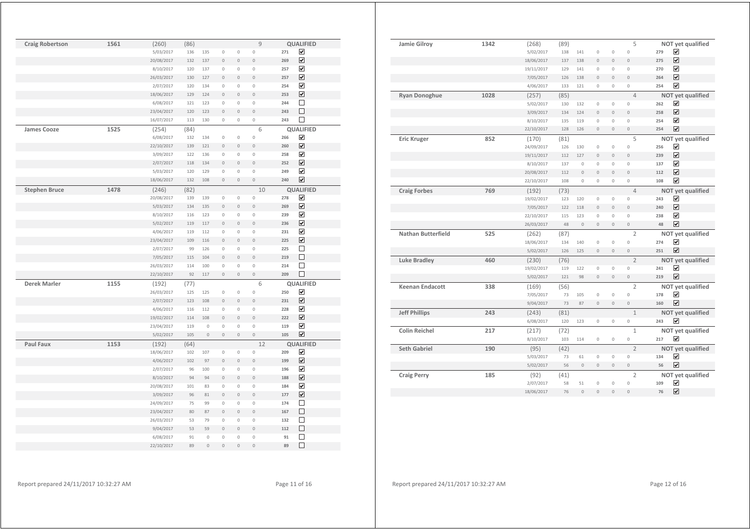| <b>Craig Robertson</b> | 1561 | (260)      | (86) |             |                     |                | 9                   |     | <b>QUALIFIED</b>        |
|------------------------|------|------------|------|-------------|---------------------|----------------|---------------------|-----|-------------------------|
|                        |      | 5/03/2017  | 136  | 135         | $\circ$             | $\mathbb O$    | $\mathbf 0$         | 271 | ☑                       |
|                        |      | 20/08/2017 | 132  | 137         | $\mathbf{0}$        | $\overline{0}$ | $\overline{0}$      | 269 | ☑                       |
|                        |      | 8/10/2017  | 120  | 137         | $\circ$             | $\circ$        | $\overline{0}$      | 257 | ☑                       |
|                        |      | 26/03/2017 | 130  | 127         | $\mathbf{0}$        | $\mathbf{0}$   | $\overline{0}$      | 257 | ☑                       |
|                        |      | 2/07/2017  | 120  | 134         | $\mathbf 0$         | $\circ$        | $\overline{0}$      | 254 | $\overline{\mathbf{v}}$ |
|                        |      | 18/06/2017 | 129  | 124         | $\mathbf{0}$        | $\mathbf{0}$   | $\overline{0}$      | 253 | ☑                       |
|                        |      | 6/08/2017  | 121  | 123         | $\mathbf 0$         | $\circ$        | $\overline{0}$      | 244 | □                       |
|                        |      | 23/04/2017 | 120  | 123         | $\mathbb O$         | $\mathbb O$    | $\overline{0}$      | 243 | П                       |
|                        |      | 16/07/2017 | 113  | 130         | $\mathbb O$         | $\mathbb O$    | $\circ$             | 243 | $\Box$                  |
| <b>James Cooze</b>     | 1525 | (254)      | (84) |             |                     |                | 6                   |     | QUALIFIED               |
|                        |      | 6/08/2017  | 132  | 134         | $\mathbb O$         | $\mathbb O$    | 0                   | 266 | ☑                       |
|                        |      | 22/10/2017 | 139  | 121         | $\mathbb O$         | $\mathbb O$    | $\overline{0}$      | 260 | ☑                       |
|                        |      | 3/09/2017  | 122  | 136         | $\mathbb O$         | $\mathbb O$    | 0                   | 258 | ☑                       |
|                        |      | 2/07/2017  | 118  | 134         | $\mathsf{O}\xspace$ | $\mathbb O$    | $\circ$             | 252 | ☑                       |
|                        |      | 5/03/2017  | 120  | 129         | $\mathbb O$         | $\mathbb O$    | 0                   | 249 | ☑                       |
|                        |      | 18/06/2017 | 132  | 108         | $\mathsf{O}\xspace$ | $\mathbb O$    | $\mathsf{O}\xspace$ | 240 | ☑                       |
|                        |      |            |      |             |                     |                |                     |     |                         |
| <b>Stephen Bruce</b>   | 1478 | (246)      | (82) |             |                     |                | 10                  |     | <b>QUALIFIED</b><br>☑   |
|                        |      | 20/08/2017 | 139  | 139         | 0                   | $\mathbb O$    | 0                   | 278 | ☑                       |
|                        |      | 5/03/2017  | 134  | 135         | $\mathbb O$         | $\mathbb O$    | $\overline{0}$      | 269 |                         |
|                        |      | 8/10/2017  | 116  | 123         | $\mathbb O$         | $\mathbb O$    | $\circ$             | 239 | ☑                       |
|                        |      | 5/02/2017  | 119  | 117         | $\overline{0}$      | $\mathbb O$    | $\circ$             | 236 | ☑                       |
|                        |      | 4/06/2017  | 119  | 112         | $\mathbb O$         | $\mathbb O$    | $\circ$             | 231 | $\overline{\mathbf{v}}$ |
|                        |      | 23/04/2017 | 109  | 116         | $\circ$             | $\mathbb O$    | $\circ$             | 225 | ☑                       |
|                        |      | 2/07/2017  | 99   | 126         | $\mathbb O$         | $\mathbb O$    | 0                   | 225 | □                       |
|                        |      | 7/05/2017  | 115  | 104         | $\circ$             | $\mathbb O$    | $\circ$             | 219 | □                       |
|                        |      | 26/03/2017 | 114  | 100         | $\mathbb O$         | $\mathbb O$    | $\circ$             | 214 | □                       |
|                        |      | 22/10/2017 | 92   | 117         | $\mathsf{O}\xspace$ | $\mathbb O$    | $\circ$             | 209 | □                       |
| <b>Derek Marler</b>    | 1155 | (192)      | (77) |             |                     |                | 6                   |     | QUALIFIED               |
|                        |      | 26/03/2017 | 125  | 125         | $\mathbb O$         | $\mathbb O$    | 0                   | 250 | ☑                       |
|                        |      | 2/07/2017  | 123  | 108         | $\mathbb O$         | $\mathbb O$    | $\mathsf{O}\xspace$ | 231 | ☑                       |
|                        |      | 4/06/2017  | 116  | 112         | $\mathbb O$         | $\mathbb O$    | 0                   | 228 | ☑                       |
|                        |      | 19/02/2017 | 114  | 108         | $\mathbb O$         | $\mathbb O$    | $\circ$             | 222 | ☑                       |
|                        |      | 23/04/2017 | 119  | $\mathbb O$ | $\mathbb O$         | $\mathbb O$    | $\mathsf{O}\xspace$ | 119 | ☑                       |
|                        |      | 5/02/2017  | 105  | $\mathbf 0$ | $\mathsf{O}\xspace$ | $\mathbb O$    | $\circ$             | 105 | $\overline{\mathbf{v}}$ |
| <b>Paul Faux</b>       | 1153 | (192)      | (64) |             |                     |                | 12                  |     | QUALIFIED               |
|                        |      | 18/06/2017 | 102  | 107         | $\overline{0}$      | $\circ$        | $\mathbf 0$         | 209 | ☑                       |
|                        |      | 4/06/2017  | 102  | 97          | $\mathbf 0$         | $\overline{0}$ | $\overline{0}$      | 199 | ☑                       |
|                        |      | 2/07/2017  | 96   | 100         | $\mathbb O$         | $\mathbb O$    | $\circ$             | 196 | $\overline{\mathbf{v}}$ |
|                        |      | 8/10/2017  | 94   | 94          | $\mathbf 0$         | $\mathbb O$    | $\overline{0}$      | 188 | ☑                       |
|                        |      | 20/08/2017 | 101  | 83          | $\mathbb O$         | $\mathbb O$    | 0                   | 184 | ☑                       |
|                        |      | 3/09/2017  | 96   | 81          | $\mathbb O$         | $\mathbb O$    | $\mathsf{O}\xspace$ | 177 | ☑                       |
|                        |      | 24/09/2017 | 75   | 99          | $\mathbb O$         | $\mathbb O$    | 0                   | 174 | □                       |
|                        |      | 23/04/2017 | 80   | 87          | $\mathbf 0$         | $\mathbf{0}$   | $\mathsf{O}\xspace$ | 167 | □                       |
|                        |      | 26/03/2017 | 53   | 79          | $\mathbb O$         | $\mathbb O$    | 0                   | 132 | □                       |
|                        |      | 9/04/2017  | 53   | 59          | $\mathbf 0$         | $\mathbf{0}$   | $\mathsf{O}\xspace$ | 112 | □                       |
|                        |      | 6/08/2017  | 91   | $\mathbb O$ | $\mathbb O$         | $\mathbb O$    | 0                   | 91  | □                       |
|                        |      | 22/10/2017 | 89   | $\circ$     | $\mathbb O$         | $\mathbb O$    | $\circ$             | 89  | $\Box$                  |
|                        |      |            |      |             |                     |                |                     |     |                         |

| Jamie Gilroy              | 1342 | (268)      | (89) |                |                |                     | 5              |     | <b>NOT yet qualified</b> |
|---------------------------|------|------------|------|----------------|----------------|---------------------|----------------|-----|--------------------------|
|                           |      | 5/02/2017  | 138  | 141            | $\mathbf 0$    | $\mathsf{O}\xspace$ | $\overline{0}$ | 279 | ☑                        |
|                           |      | 18/06/2017 | 137  | 138            | $\Omega$       | $\Omega$            | $\Omega$       | 275 | $\overline{\mathbf{v}}$  |
|                           |      | 19/11/2017 | 129  | 141            | $\mathbf 0$    | $\mathbf 0$         | $\mathbf 0$    | 270 | $\overline{\mathbf{v}}$  |
|                           |      | 7/05/2017  | 126  | 138            | $\overline{0}$ | $\overline{0}$      | $\overline{0}$ | 264 | ☑                        |
|                           |      | 4/06/2017  | 133  | 121            | $\mathbf{0}$   | $\mathbf 0$         | $\mathbf 0$    | 254 | $\overline{\mathbf{v}}$  |
| <b>Ryan Donoghue</b>      | 1028 | (257)      | (85) |                |                |                     | $\overline{4}$ |     | NOT yet qualified        |
|                           |      | 5/02/2017  | 130  | 132            | $\mathbf 0$    | $\mathbf 0$         | $\overline{0}$ | 262 | $\overline{\mathbf{v}}$  |
|                           |      | 3/09/2017  | 134  | 124            | $\Omega$       | $\Omega$            | $\Omega$       | 258 | $\overline{\mathbf{v}}$  |
|                           |      | 8/10/2017  | 135  | 119            | $\overline{0}$ | $\mathbf 0$         | $\overline{0}$ | 254 | $\overline{\mathbf{v}}$  |
|                           |      | 22/10/2017 | 128  | 126            | $\overline{0}$ | $\mathbf{0}$        | $\overline{0}$ | 254 | $\overline{\mathbf{v}}$  |
| <b>Eric Kruger</b>        | 852  | (170)      | (81) |                |                |                     | 5              |     | <b>NOT yet qualified</b> |
|                           |      | 24/09/2017 | 126  | 130            | $\mathbf 0$    | $\mathbb O$         | $\overline{0}$ | 256 | $\overline{\mathbf{v}}$  |
|                           |      | 19/11/2017 | 112  | 127            | $\mathbf{0}$   | $\mathbf{0}$        | $\overline{0}$ | 239 | $\overline{\mathbf{v}}$  |
|                           |      | 8/10/2017  | 137  | $\Omega$       | $\Omega$       | $\mathbf 0$         | $\Omega$       | 137 | $\overline{\mathbf{v}}$  |
|                           |      | 20/08/2017 | 112  | $\overline{0}$ | $\overline{0}$ | $\mathbf{0}$        | $\overline{0}$ | 112 | $\overline{\mathbf{v}}$  |
|                           |      | 22/10/2017 | 108  | $\Omega$       | $\mathbf 0$    | $\mathbf 0$         | $\Omega$       | 108 | $\overline{\mathbf{v}}$  |
| <b>Craig Forbes</b>       | 769  | (192)      | (73) |                |                |                     | $\overline{4}$ |     | NOT yet qualified        |
|                           |      | 19/02/2017 | 123  | 120            | $\mathbb O$    | $\mathsf{O}\xspace$ | $\circ$        | 243 | ⊽                        |
|                           |      | 7/05/2017  | 122  | 118            | $\mathbf{0}$   | $\overline{0}$      | $\overline{0}$ | 240 | $\blacktriangledown$     |
|                           |      | 22/10/2017 | 115  | 123            | $\mathbf{0}$   | $\mathbf 0$         | $\Omega$       | 238 | ☑                        |
|                           |      | 26/03/2017 | 48   | $\overline{0}$ | $\overline{0}$ | $\mathbf{0}$        | $\overline{0}$ | 48  | $\blacktriangledown$     |
| <b>Nathan Butterfield</b> | 525  | (262)      | (87) |                |                |                     | $\overline{2}$ |     | NOT yet qualified        |
|                           |      | 18/06/2017 | 134  | 140            | $\mathbf 0$    | $\mathbf 0$         | $\overline{0}$ | 274 | ☑                        |
|                           |      | 5/02/2017  | 126  | 125            | $\mathbf 0$    | $\mathbf 0$         | $\overline{0}$ | 251 | $\blacktriangledown$     |
| <b>Luke Bradley</b>       | 460  | (230)      | (76) |                |                |                     | $\overline{2}$ |     | NOT yet qualified        |
|                           |      | 19/02/2017 | 119  | 122            | $\Omega$       | $\mathbf 0$         | $\Omega$       | 241 | ☑                        |
|                           |      | 5/02/2017  | 121  | 98             | $\overline{0}$ | $\mathbf{0}$        | $\overline{0}$ | 219 | $\overline{\mathbf{v}}$  |
| <b>Keenan Endacott</b>    | 338  | (169)      | (56) |                |                |                     | $\overline{2}$ |     | <b>NOT yet qualified</b> |
|                           |      | 7/05/2017  | 73   | 105            | $\mathbf 0$    | $\mathsf{O}\xspace$ | $\overline{0}$ | 178 | ☑                        |
|                           |      | 9/04/2017  | 73   | 87             | $\overline{0}$ | $\mathbf{0}$        | $\overline{0}$ | 160 | $\overline{\mathbf{v}}$  |
| <b>Jeff Phillips</b>      | 243  | (243)      | (81) |                |                |                     | $\mathbf{1}$   |     | <b>NOT yet qualified</b> |
|                           |      | 6/08/2017  | 120  | 123            | $\mathbf 0$    | $\circ$             | $\overline{0}$ | 243 | ☑                        |
| Colin Reichel             | 217  | (217)      | (72) |                |                |                     | $\mathbf{1}$   |     | NOT yet qualified        |
|                           |      | 8/10/2017  | 103  | 114            | $\mathbf 0$    | $\mathsf{O}\xspace$ | $\overline{0}$ | 217 | $\overline{\mathbf{v}}$  |
| Seth Gabriel              | 190  | (95)       | (42) |                |                |                     | $\overline{2}$ |     | NOT yet qualified        |
|                           |      | 5/03/2017  | 73   | 61             | $\mathbb O$    | $\mathsf{O}\xspace$ | $\overline{0}$ | 134 | $\overline{\mathbf{v}}$  |
|                           |      | 5/02/2017  | 56   | $\Omega$       | $\overline{0}$ | $\overline{0}$      | $\overline{0}$ | 56  | $\blacktriangledown$     |
| <b>Craig Perry</b>        | 185  | (92)       | (41) |                |                |                     | $\overline{2}$ |     | NOT yet qualified        |
|                           |      | 2/07/2017  | 58   | 51             | $\circ$        | $\circ$             | $\overline{0}$ | 109 | $\overline{\mathbf{v}}$  |
|                           |      | 18/06/2017 | 76   | $\overline{0}$ | $\overline{0}$ | $\overline{0}$      | $\overline{0}$ | 76  | $\overline{\mathbf{v}}$  |
|                           |      |            |      |                |                |                     |                |     |                          |

Report prepared 24/11/2017 10:32:27 AM Page 11 of 16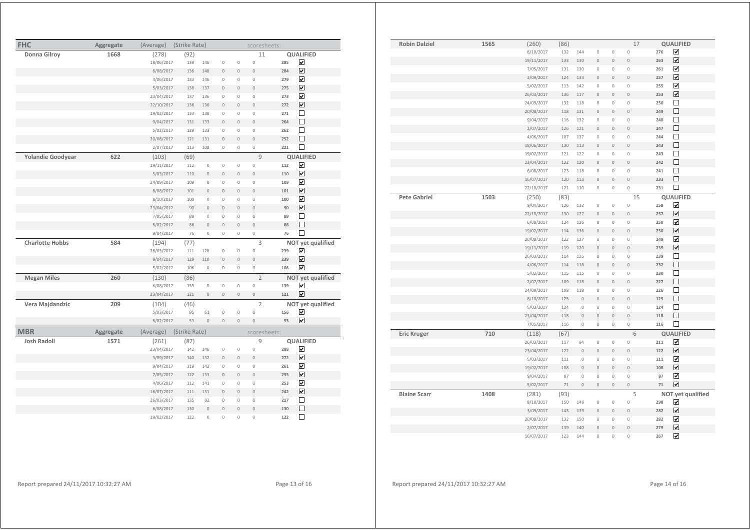| <b>FHC</b>               | Aggregate | (Average)  | (Strike Rate) |                     |                |                | scoresheets:        |     |                         |
|--------------------------|-----------|------------|---------------|---------------------|----------------|----------------|---------------------|-----|-------------------------|
| Donna Gilroy             | 1668      | (278)      | (92)          |                     |                |                | 11                  |     | <b>QUALIFIED</b>        |
|                          |           | 18/06/2017 | 139           | 146                 | $\circ$        | $\mathbb O$    | $\circ$             | 285 | ☑                       |
|                          |           | 6/08/2017  | 136           | 148                 | $\mathbb O$    | $\mathbb O$    | $\mathbb O$         | 284 | ☑                       |
|                          |           | 4/06/2017  | 133           | 146                 | $\mathbb O$    | $\mathbb O$    | $\mathbb O$         | 279 | ☑                       |
|                          |           | 5/03/2017  | 138           | 137                 | $\mathbb O$    | $\mathbf 0$    | $\mathsf{O}\xspace$ | 275 | $\overline{\mathbf{v}}$ |
|                          |           | 23/04/2017 | 137           | 136                 | $\circ$        | $\mathbb O$    | $\mathbf 0$         | 273 | ☑                       |
|                          |           | 22/10/2017 | 136           | 136                 | $\overline{0}$ | $\mathbf{0}$   | $\overline{0}$      | 272 | ☑                       |
|                          |           | 19/02/2017 | 133           | 138                 | $\circ$        | $\mathbf 0$    | $\mathbf 0$         | 271 | □                       |
|                          |           | 9/04/2017  | 131           | 133                 | $\mathbb O$    | $\mathbb O$    | $\mathbf{0}$        | 264 | □                       |
|                          |           | 5/02/2017  | 129           | 133                 | $\circ$        | $\mathbb O$    | $\mathbb O$         | 262 | □                       |
|                          |           | 20/08/2017 | 121           | 131                 | $\mathbf{0}$   | $\mathbb O$    | $\mathsf{O}\xspace$ | 252 | □                       |
|                          |           | 2/07/2017  | 113           | 108                 | $\mathbb O$    | $\mathbb O$    | $\circ$             | 221 | □                       |
| <b>Yolandie Goodyear</b> | 622       | (103)      | (69)          |                     |                |                | 9                   |     | <b>QUALIFIED</b>        |
|                          |           | 19/11/2017 | 112           | $\mathsf{O}\xspace$ | $\mathbb O$    | $\mathbb O$    | $\mathsf{O}\xspace$ | 112 | ☑                       |
|                          |           | 5/03/2017  | 110           | $\mathbf{0}$        | $\circ$        | $\circ$        | $\mathbf{0}$        | 110 | ☑                       |
|                          |           | 24/09/2017 | 109           | $\mathbf 0$         | $\mathbf 0$    | $\mathbb O$    | $\mathbf 0$         | 109 | ☑                       |
|                          |           | 6/08/2017  | 101           | $\mathbf{0}$        | $\overline{0}$ | $\overline{0}$ | $\overline{0}$      | 101 | ☑                       |
|                          |           | 8/10/2017  | 100           | $\mathbb O$         | $\mathbb O$    | $\mathbb O$    | $\mathbb O$         | 100 | ⊽                       |
|                          |           | 23/04/2017 | 90            | $\mathsf{O}\xspace$ | $\mathbf{0}$   | $\mathbb O$    | $\overline{0}$      | 90  | ☑                       |
|                          |           | 7/05/2017  | 89            | $\circ$             | $\mathbf 0$    | $\circ$        | $\mathsf{O}\xspace$ | 89  | □                       |
|                          |           | 5/02/2017  | 86            | $\circ$             | $\mathbb O$    | $\mathbb O$    | $\mathbf 0$         | 86  | $\Box$                  |
|                          |           | 9/04/2017  | 76            | $\mathbb O$         | $\mathbb O$    | $\mathbb O$    | $\mathbb O$         | 76  | □                       |
| <b>Charlotte Hobbs</b>   | 584       | (194)      | (77)          |                     |                |                | 3                   |     | NOT yet qualified       |
|                          |           | 26/03/2017 | 111           | 128                 | $\mathbb O$    | $\mathbb O$    | $\mathsf{O}\xspace$ | 239 | ☑                       |
|                          |           | 9/04/2017  | 129           | 110                 | $\mathbb O$    | $\mathbb O$    | $\overline{0}$      | 239 | ☑                       |
|                          |           | 5/02/2017  | 106           | $\mathbb O$         | $\mathbb O$    | $\mathbb O$    | $\mathsf{O}\xspace$ | 106 | ☑                       |
| <b>Megan Miles</b>       | 260       | (130)      | (86)          |                     |                |                | $\overline{2}$      |     | NOT yet qualified       |
|                          |           | 6/08/2017  | 139           | $\circ$             | $\mathbb O$    | $\mathbb O$    | $\mathsf{O}\xspace$ | 139 | ☑                       |
|                          |           | 23/04/2017 | 121           | $\mathbf 0$         | $\mathbb O$    | $\mathbf 0$    | $\mathbf 0$         | 121 | ☑                       |
| Vera Majdandzic          | 209       | (104)      | (46)          |                     |                |                | $\overline{2}$      |     | NOT yet qualified       |
|                          |           | 5/03/2017  | 95            | 61                  | $\circ$        | $\mathbb O$    | $\circ$             | 156 | $\overline{\mathbf{v}}$ |
|                          |           | 5/02/2017  | 53            | $\mathbf{0}$        | $\mathbf{0}$   | $\circ$        | $\overline{0}$      | 53  | $\overline{\mathbf{v}}$ |
| <b>MBR</b>               | Aggregate | (Average)  | (Strike Rate) |                     |                |                | scoresheets:        |     |                         |
| <b>Josh Radoll</b>       | 1571      | (261)      | (87)          |                     |                |                | 9                   |     | QUALIFIED               |
|                          |           | 23/04/2017 | 142           | 146                 | $\mathbb O$    | $\mathbb O$    | $\circ$             | 288 | ☑                       |
|                          |           | 3/09/2017  | 140           | 132                 | $\circ$        | $\mathbf{0}$   | $\mathbf{0}$        | 272 | ☑                       |
|                          |           | 9/04/2017  | 119           | 142                 | $\mathbb O$    | $\mathbb O$    | $\mathbb O$         | 261 | ☑                       |
|                          |           | 7/05/2017  | 122           | 133                 | $\circ$        | $\mathbf{0}$   | $\mathbf{0}$        | 255 | $\overline{\mathbf{v}}$ |
|                          |           | 4/06/2017  | 112           | 141                 | $\mathbb O$    | $\mathbb O$    | $\mathbb O$         | 253 | ☑                       |
|                          |           | 16/07/2017 | 111           | 131                 | $\mathbf{0}$   | $\mathbb O$    | $\mathbf 0$         | 242 | ☑                       |
|                          |           | 26/03/2017 | 135           | 82                  | $\circ$        | $\mathbb O$    | $\mathsf{O}\xspace$ | 217 | □                       |
|                          |           | 6/08/2017  | 130           | $\mathbb O$         | $\mathbb O$    | $\mathbf 0$    | $\circ$             | 130 | □                       |
|                          |           | 19/02/2017 | 122           | $\mathbf 0$         | $\mathbf 0$    | $\mathbf 0$    | $\mathbf 0$         | 122 | □                       |

| <b>Robin Dalziel</b> | 1565 | (260)      | (86)   |             |                     |                     | 17                  |     | QUALIFIED               |
|----------------------|------|------------|--------|-------------|---------------------|---------------------|---------------------|-----|-------------------------|
|                      |      | 8/10/2017  | 132    | 144         | $\mathbb O$         | $\mathbb O$         | $\mathbb O$         | 276 | $\overline{\mathbf{v}}$ |
|                      |      | 19/11/2017 | 133    | 130         | $\mathsf{O}\xspace$ | $\mathbb O$         | $\mathbb O$         | 263 | $\overline{\mathbf{v}}$ |
|                      |      | 7/05/2017  | 131    | 130         | $\overline{0}$      | $\circ$             | $\circ$             | 261 | $\blacktriangledown$    |
|                      |      | 3/09/2017  | 124    | 133         | $\overline{0}$      | $\mathbb O$         | $\mathbf 0$         | 257 | $\overline{\mathbf{v}}$ |
|                      |      | 5/02/2017  | 113    | 142         | 0                   | $\mathsf{O}\xspace$ | $\mathbb O$         | 255 | $\blacktriangledown$    |
|                      |      | 26/03/2017 | 136    | 117         | 0                   | $\mathbb O$         | $\mathbb O$         | 253 | $\overline{\mathbf{v}}$ |
|                      |      | 24/09/2017 | 132    | 118         | $\mathsf{O}\xspace$ | $\mathbf 0$         | $\mathbb O$         | 250 | П                       |
|                      |      | 20/08/2017 | 118    | 131         | $\mathbf 0$         | $\mathbf 0$         | $\circ$             | 249 | $\Box$                  |
|                      |      | 9/04/2017  | 116    | 132         | 0                   | $\mathsf{O}\xspace$ | $\mathbb O$         | 248 | $\Box$                  |
|                      |      | 2/07/2017  | 126    | 121         | $\overline{0}$      | $\mathbf 0$         | $\mathbb O$         | 247 | $\Box$                  |
|                      |      | 4/06/2017  | 107    | 137         | $\overline{0}$      | $\circ$             | $\mathbb O$         | 244 | $\Box$                  |
|                      |      | 18/06/2017 | 130    | 113         | $\overline{0}$      | $\mathbf 0$         | $\mathbf{0}$        | 243 | $\Box$                  |
|                      |      | 19/02/2017 | 121    | 122         | 0                   | $\mathbb O$         | 0                   | 243 | □                       |
|                      |      | 23/04/2017 | 122    | 120         | O                   | $\mathbf 0$         | $\mathsf{O}\xspace$ | 242 | $\Box$                  |
|                      |      | 6/08/2017  | 123    | 118         | $\mathbb O$         | $\mathsf{O}\xspace$ | $\mathbb O$         | 241 | $\Box$                  |
|                      |      | 16/07/2017 | 120    | 113         | $\circ$             | $\mathbf 0$         | $\circ$             | 233 | $\Box$                  |
|                      |      | 22/10/2017 | 121    | 110         | $\mathbb O$         | $\mathbb O$         | $\mathbb O$         | 231 | $\Box$                  |
| <b>Pete Gabriel</b>  | 1503 | (250)      | (83)   |             |                     |                     | 15                  |     | QUALIFIED               |
|                      |      | 9/04/2017  | 126    | 132         | 0                   | $\mathsf{O}\xspace$ | $\mathbb O$         | 258 | $\overline{\mathbf{v}}$ |
|                      |      | 22/10/2017 | 130    | 127         | $\overline{0}$      | $\overline{0}$      | $\mathbf{0}$        | 257 | $\blacktriangledown$    |
|                      |      | 6/08/2017  | 124    | 126         | $\mathsf{O}\xspace$ | $\mathsf{O}\xspace$ | $\mathbb O$         | 250 | $\overline{\mathbf{v}}$ |
|                      |      | 19/02/2017 | 114    | 136         | $\mathsf{O}\xspace$ | $\mathbf 0$         | $\mathbb O$         | 250 | $\blacktriangledown$    |
|                      |      | 20/08/2017 | 122    | 127         | $\mathsf{O}\xspace$ | $\mathbf 0$         | $\mathbb O$         | 249 | $\overline{\mathbf{v}}$ |
|                      |      | 19/11/2017 | 119    | 120         | $\overline{0}$      | $\mathbb O$         | $\mathbb O$         | 239 | $\overline{\mathbf{v}}$ |
|                      |      | 26/03/2017 | 114    | 125         | 0                   | $\circ$             | $\mathbb O$         | 239 | $\Box$                  |
|                      |      | 4/06/2017  | 114    | 118         | $\mathbf 0$         | $\mathbb O$         | $\mathbb O$         | 232 | $\Box$                  |
|                      |      | 5/02/2017  | 115    | 115         | $\mathbb O$         | $\mathbb O$         | 0                   | 230 | $\Box$                  |
|                      |      | 2/07/2017  | 109    | 118         | $\overline{0}$      | $\mathbf{0}$        | $\overline{0}$      | 227 | $\Box$                  |
|                      |      | 24/09/2017 | 108    | 118         | 0                   | $\mathbb O$         | $\mathbb O$         | 226 | □                       |
|                      |      | 8/10/2017  | 125    | $\circ$     | $\overline{0}$      | $\mathbf 0$         | $\mathsf{O}\xspace$ | 125 | $\Box$                  |
|                      |      | 5/03/2017  | 124    | 0           | $\mathbb O$         | $\mathbb O$         | 0                   | 124 | $\Box$                  |
|                      |      | 23/04/2017 | 118    | $\mathbf 0$ | $\overline{0}$      | $\overline{0}$      | $\circ$             | 118 | $\Box$                  |
|                      |      | 7/05/2017  | 116    | $\mathbb O$ | $\mathbb O$         | $\mathsf{O}\xspace$ | $\mathsf{O}\xspace$ | 116 | $\Box$                  |
| <b>Eric Kruger</b>   | 710  | (118)      | (67)   |             |                     |                     | 6                   |     | <b>QUALIFIED</b>        |
|                      |      | 26/03/2017 | 117    | 94          | $\overline{0}$      | $\mathbb O$         | $\circ$             | 211 | $\blacktriangledown$    |
|                      |      | 23/04/2017 | 122    | $\mathbb O$ | $\overline{0}$      | $\mathsf{O}\xspace$ | $\mathbb O$         | 122 | ☑                       |
|                      |      | 5/03/2017  | 111    | $\mathbf 0$ | $\overline{0}$      | $\mathbf 0$         | $\mathbf 0$         | 111 | $\blacktriangledown$    |
|                      |      | 19/02/2017 | 108    | $\mathbb O$ | $\overline{0}$      | $\circ$             | $\mathbb O$         | 108 | $\overline{\mathbf{v}}$ |
|                      |      | 9/04/2017  | 87     | $\mathbb O$ | $\mathsf{O}\xspace$ | $\circ$             | $\circ$             | 87  | $\blacktriangledown$    |
|                      |      | 5/02/2017  | $71\,$ | $\mathbb O$ | $\mathsf{O}\xspace$ | $\mathbb O$         | $\mathbb O$         | 71  | $\overline{\mathbf{v}}$ |
| <b>Blaine Scarr</b>  | 1408 | (281)      | (93)   |             |                     |                     | 5                   |     | NOT yet qualified       |
|                      |      | 8/10/2017  | 150    | 148         | $\mathsf{O}\xspace$ | $\mathsf{O}\xspace$ | $\circ$             | 298 | $\blacktriangledown$    |
|                      |      | 3/09/2017  | 143    | 139         | $\overline{0}$      | $\circ$             | $\mathbf 0$         | 282 | $\overline{\mathbf{v}}$ |
|                      |      | 20/08/2017 | 132    | 150         | $\mathsf{O}\xspace$ | $\mathbb O$         | $\circ$             | 282 | $\overline{\mathbf{v}}$ |
|                      |      | 2/07/2017  | 139    | 140         | 0                   | $\mathbf 0$         | $\mathbb O$         | 279 | $\blacktriangledown$    |
|                      |      | 16/07/2017 | 123    | 144         | $\overline{0}$      | $\mathbf 0$         | $\mathbf 0$         | 267 | $\overline{\mathbf{v}}$ |